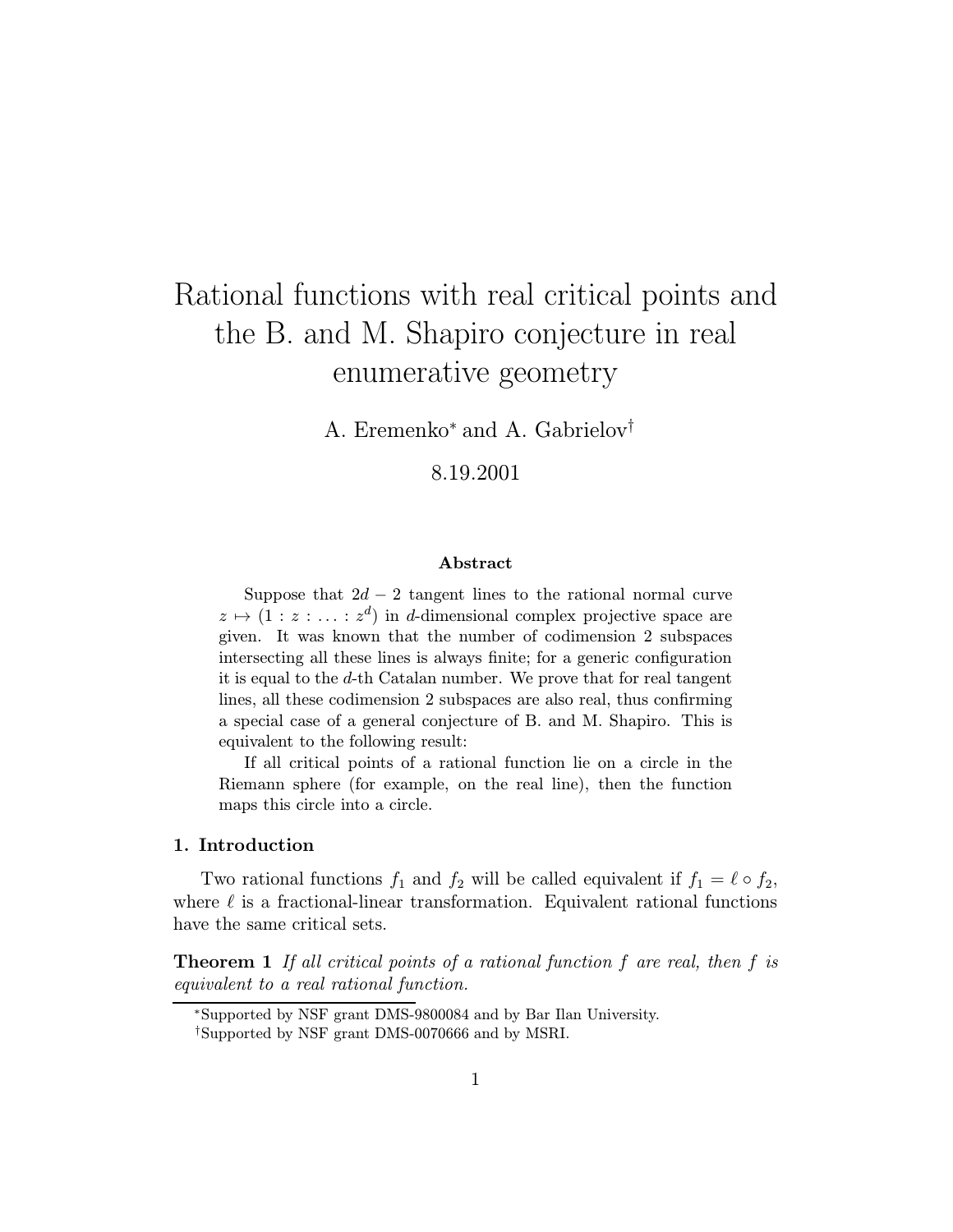# Rational functions with real critical points and the B. and M. Shapiro conjecture in real enumerative geometry

A. Eremenko<sup>∗</sup> and A. Gabrielov†

8.19.2001

## Abstract

Suppose that  $2d - 2$  tangent lines to the rational normal curve  $z \mapsto (1 : z : \ldots : z^d)$  in d-dimensional complex projective space are given. It was known that the number of codimension 2 subspaces intersecting all these lines is always finite; for a generic configuration it is equal to the d-th Catalan number. We prove that for real tangent lines, all these codimension 2 subspaces are also real, thus confirming a special case of a general conjecture of B. and M. Shapiro. This is equivalent to the following result:

If all critical points of a rational function lie on a circle in the Riemann sphere (for example, on the real line), then the function maps this circle into a circle.

# 1. Introduction

Two rational functions  $f_1$  and  $f_2$  will be called equivalent if  $f_1 = \ell \circ f_2$ , where  $\ell$  is a fractional-linear transformation. Equivalent rational functions have the same critical sets.

**Theorem 1** If all critical points of a rational function  $f$  are real, then  $f$  is equivalent to a real rational function.

<sup>∗</sup>Supported by NSF grant DMS-9800084 and by Bar Ilan University. †Supported by NSF grant DMS-0070666 and by MSRI.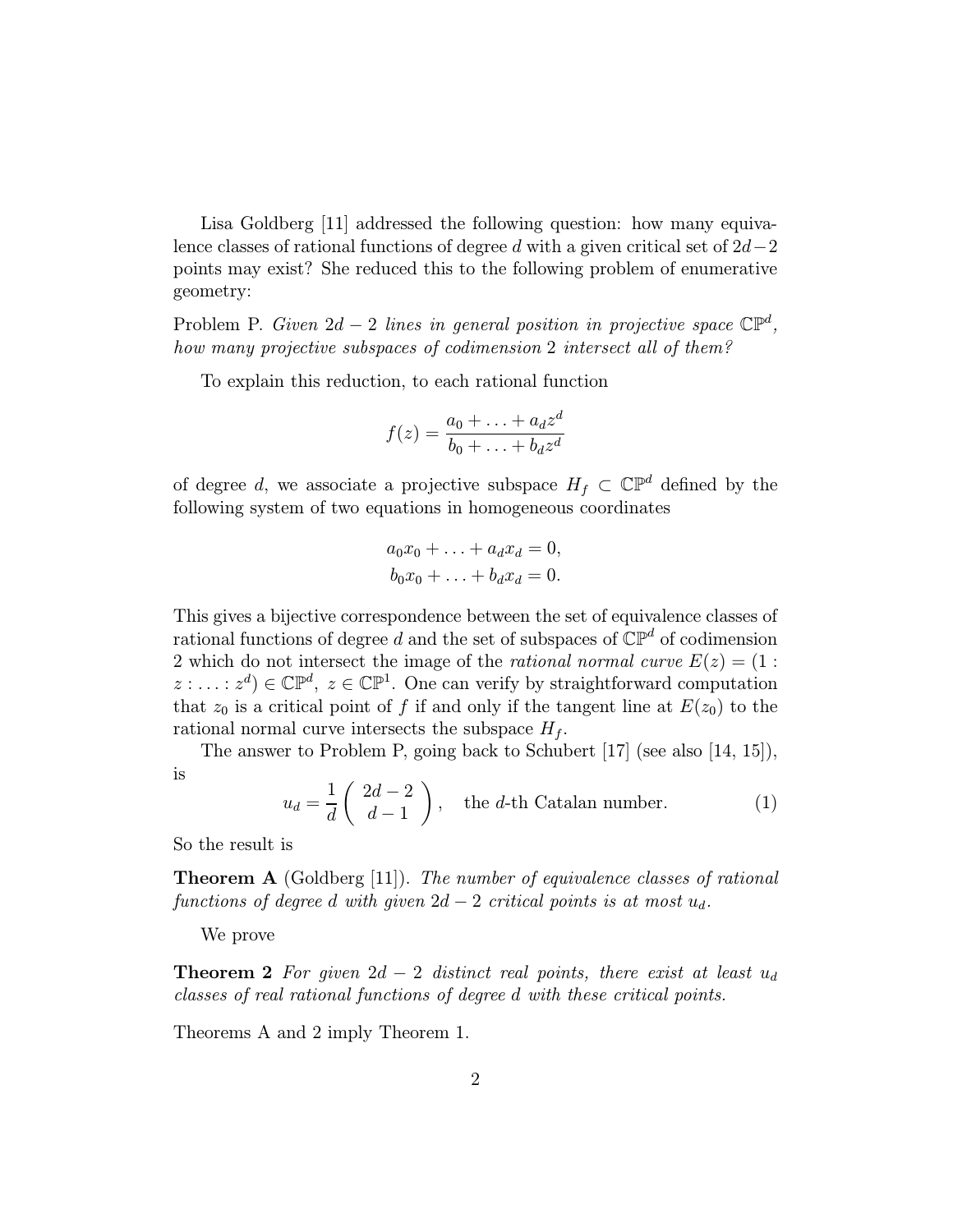Lisa Goldberg [11] addressed the following question: how many equivalence classes of rational functions of degree d with a given critical set of  $2d-2$ points may exist? She reduced this to the following problem of enumerative geometry:

Problem P. Given  $2d - 2$  lines in general position in projective space  $\mathbb{CP}^d$ , how many projective subspaces of codimension 2 intersect all of them?

To explain this reduction, to each rational function

$$
f(z) = \frac{a_0 + \ldots + a_d z^d}{b_0 + \ldots + b_d z^d}
$$

of degree d, we associate a projective subspace  $H_f \subset \mathbb{CP}^d$  defined by the following system of two equations in homogeneous coordinates

$$
a_0x_0 + \ldots + a_dx_d = 0,
$$
  

$$
b_0x_0 + \ldots + b_dx_d = 0.
$$

This gives a bijective correspondence between the set of equivalence classes of rational functions of degree d and the set of subspaces of  $\mathbb{CP}^d$  of codimension 2 which do not intersect the image of the rational normal curve  $E(z) = (1 :$  $z : \ldots : z^d$ )  $\in \mathbb{CP}^d$ ,  $z \in \mathbb{CP}^1$ . One can verify by straightforward computation that  $z_0$  is a critical point of f if and only if the tangent line at  $E(z_0)$  to the rational normal curve intersects the subspace  $H_f$ .

The answer to Problem P, going back to Schubert [17] (see also [14, 15]),  $\overline{ }$ 

$$
u_d = \frac{1}{d} \begin{pmatrix} 2d - 2 \\ d - 1 \end{pmatrix}, \quad \text{the } d \text{-th Catalan number.} \tag{1}
$$

So the result is

is

**Theorem A** (Goldberg [11]). The number of equivalence classes of rational functions of degree d with given  $2d - 2$  critical points is at most  $u_d$ .

We prove

**Theorem 2** For given  $2d - 2$  distinct real points, there exist at least  $u_d$ classes of real rational functions of degree d with these critical points.

Theorems A and 2 imply Theorem 1.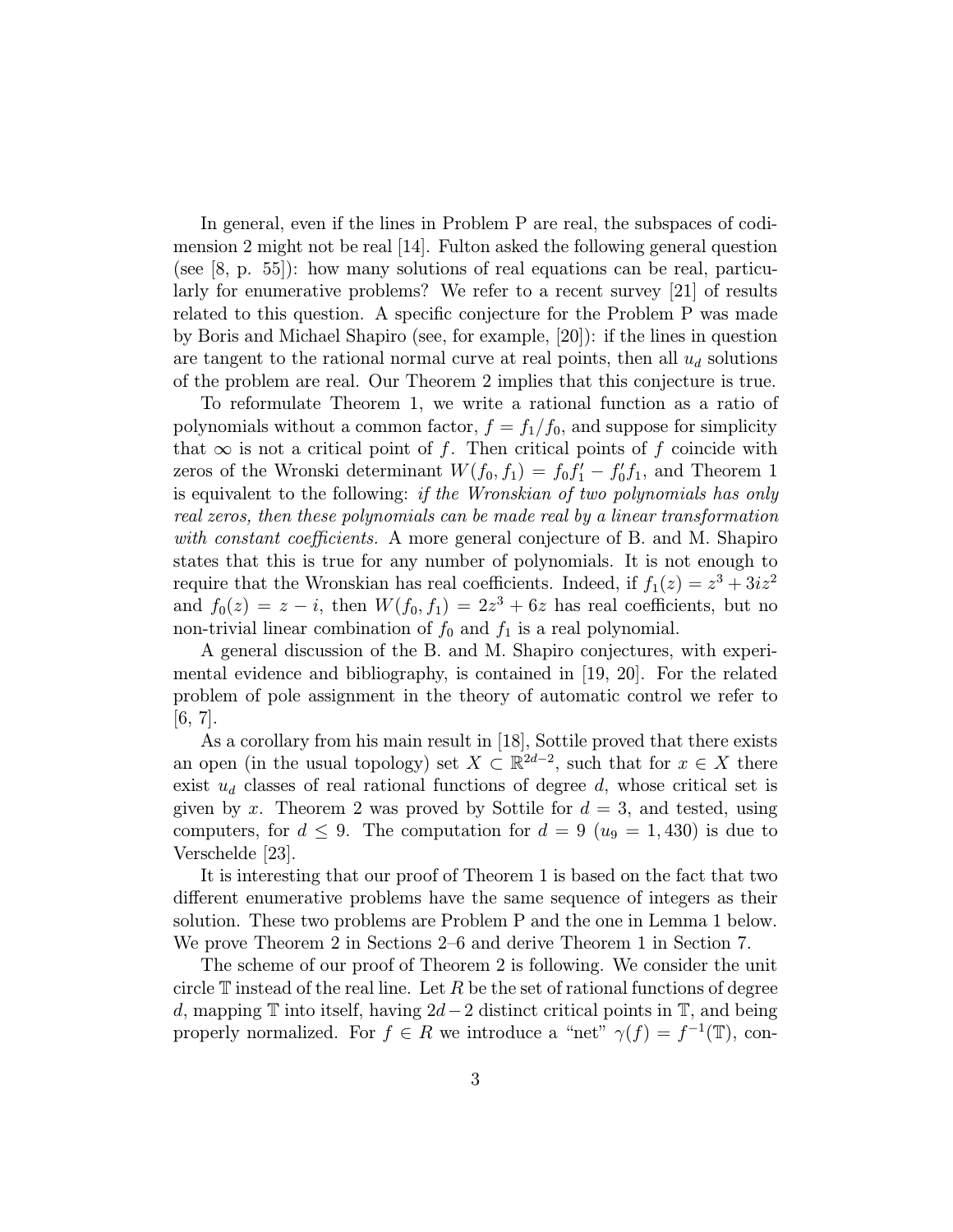In general, even if the lines in Problem P are real, the subspaces of codimension 2 might not be real [14]. Fulton asked the following general question (see  $[8, p. 55]$ ): how many solutions of real equations can be real, particularly for enumerative problems? We refer to a recent survey [21] of results related to this question. A specific conjecture for the Problem P was made by Boris and Michael Shapiro (see, for example, [20]): if the lines in question are tangent to the rational normal curve at real points, then all  $u_d$  solutions of the problem are real. Our Theorem 2 implies that this conjecture is true.

To reformulate Theorem 1, we write a rational function as a ratio of polynomials without a common factor,  $f = f_1/f_0$ , and suppose for simplicity that  $\infty$  is not a critical point of f. Then critical points of f coincide with zeros of the Wronski determinant  $W(f_0, f_1) = f_0 f_1' - f_0' f_1$ , and Theorem 1 is equivalent to the following: if the Wronskian of two polynomials has only real zeros, then these polynomials can be made real by a linear transformation with constant coefficients. A more general conjecture of B. and M. Shapiro states that this is true for any number of polynomials. It is not enough to require that the Wronskian has real coefficients. Indeed, if  $f_1(z) = z^3 + 3iz^2$ and  $f_0(z) = z - i$ , then  $W(f_0, f_1) = 2z^3 + 6z$  has real coefficients, but no non-trivial linear combination of  $f_0$  and  $f_1$  is a real polynomial.

A general discussion of the B. and M. Shapiro conjectures, with experimental evidence and bibliography, is contained in [19, 20]. For the related problem of pole assignment in the theory of automatic control we refer to [6, 7].

As a corollary from his main result in [18], Sottile proved that there exists an open (in the usual topology) set  $X \subset \mathbb{R}^{2d-2}$ , such that for  $x \in X$  there exist  $u_d$  classes of real rational functions of degree d, whose critical set is given by x. Theorem 2 was proved by Sottile for  $d = 3$ , and tested, using computers, for  $d \leq 9$ . The computation for  $d = 9(u_9 = 1, 430)$  is due to Verschelde [23].

It is interesting that our proof of Theorem 1 is based on the fact that two different enumerative problems have the same sequence of integers as their solution. These two problems are Problem P and the one in Lemma 1 below. We prove Theorem 2 in Sections 2–6 and derive Theorem 1 in Section 7.

The scheme of our proof of Theorem 2 is following. We consider the unit circle  $\mathbb T$  instead of the real line. Let R be the set of rational functions of degree d, mapping  $\mathbb T$  into itself, having  $2d-2$  distinct critical points in  $\mathbb T$ , and being properly normalized. For  $f \in R$  we introduce a "net"  $\gamma(f) = f^{-1}(\mathbb{T})$ , con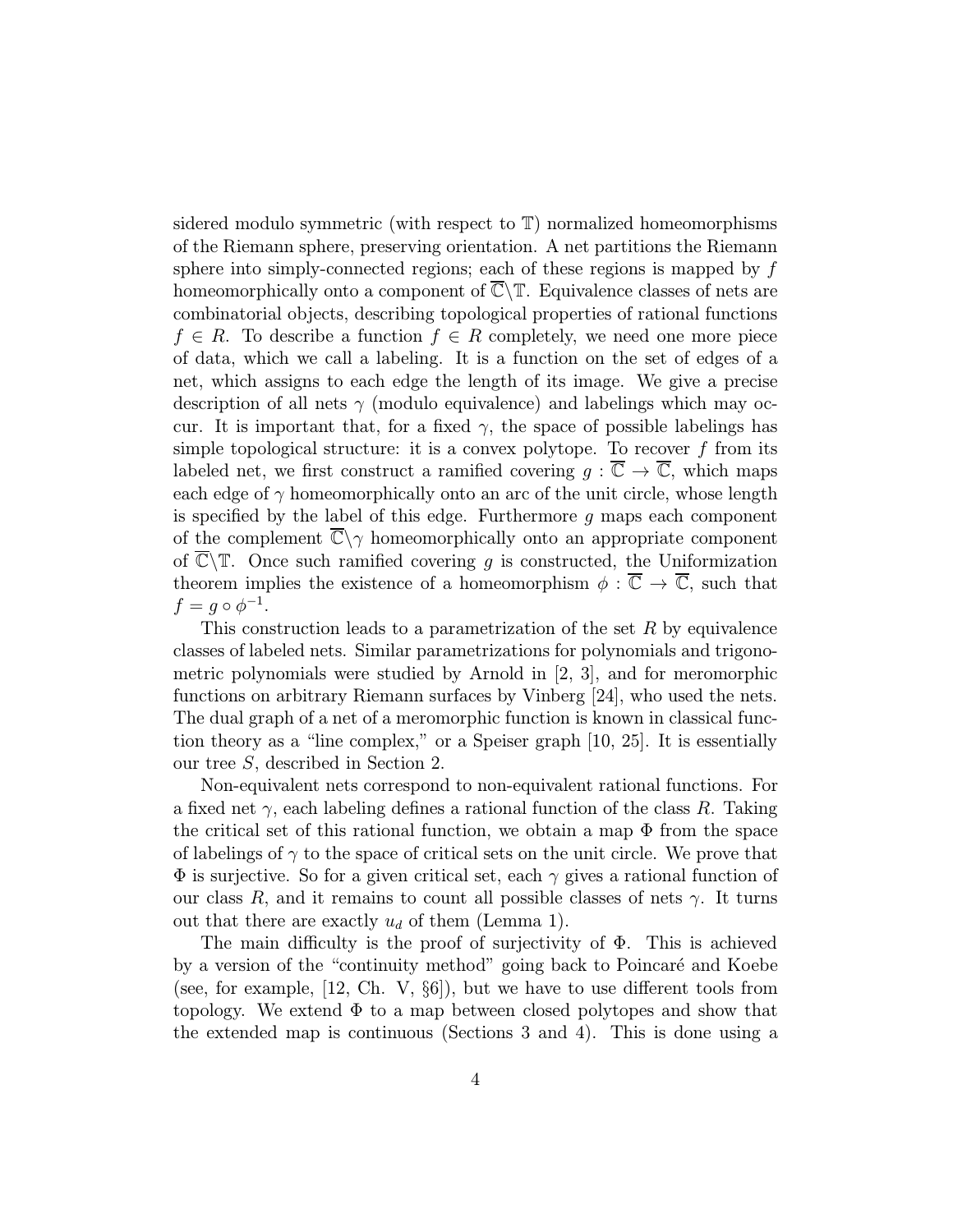sidered modulo symmetric (with respect to T) normalized homeomorphisms of the Riemann sphere, preserving orientation. A net partitions the Riemann sphere into simply-connected regions; each of these regions is mapped by f homeomorphically onto a component of  $\overline{\mathbb{C}}\backslash\mathbb{T}$ . Equivalence classes of nets are combinatorial objects, describing topological properties of rational functions  $f \in R$ . To describe a function  $f \in R$  completely, we need one more piece of data, which we call a labeling. It is a function on the set of edges of a net, which assigns to each edge the length of its image. We give a precise description of all nets  $\gamma$  (modulo equivalence) and labelings which may occur. It is important that, for a fixed  $\gamma$ , the space of possible labelings has simple topological structure: it is a convex polytope. To recover  $f$  from its labeled net, we first construct a ramified covering  $g : \overline{\mathbb{C}} \to \overline{\mathbb{C}}$ , which maps each edge of  $\gamma$  homeomorphically onto an arc of the unit circle, whose length is specified by the label of this edge. Furthermore  $q$  maps each component of the complement  $\overline{\mathbb{C}}\setminus\gamma$  homeomorphically onto an appropriate component of  $\overline{\mathbb{C}}\backslash\mathbb{T}$ . Once such ramified covering g is constructed, the Uniformization theorem implies the existence of a homeomorphism  $\phi : \overline{\mathbb{C}} \to \overline{\mathbb{C}}$ , such that  $f = q \circ \phi^{-1}.$ 

This construction leads to a parametrization of the set  $R$  by equivalence classes of labeled nets. Similar parametrizations for polynomials and trigonometric polynomials were studied by Arnold in [2, 3], and for meromorphic functions on arbitrary Riemann surfaces by Vinberg [24], who used the nets. The dual graph of a net of a meromorphic function is known in classical function theory as a "line complex," or a Speiser graph [10, 25]. It is essentially our tree S, described in Section 2.

Non-equivalent nets correspond to non-equivalent rational functions. For a fixed net  $\gamma$ , each labeling defines a rational function of the class R. Taking the critical set of this rational function, we obtain a map  $\Phi$  from the space of labelings of  $\gamma$  to the space of critical sets on the unit circle. We prove that  $\Phi$  is surjective. So for a given critical set, each  $\gamma$  gives a rational function of our class R, and it remains to count all possible classes of nets  $\gamma$ . It turns out that there are exactly  $u_d$  of them (Lemma 1).

The main difficulty is the proof of surjectivity of  $\Phi$ . This is achieved by a version of the "continuity method" going back to Poincaré and Koebe (see, for example, [12, Ch. V,  $\S6$ ]), but we have to use different tools from topology. We extend  $\Phi$  to a map between closed polytopes and show that the extended map is continuous (Sections 3 and 4). This is done using a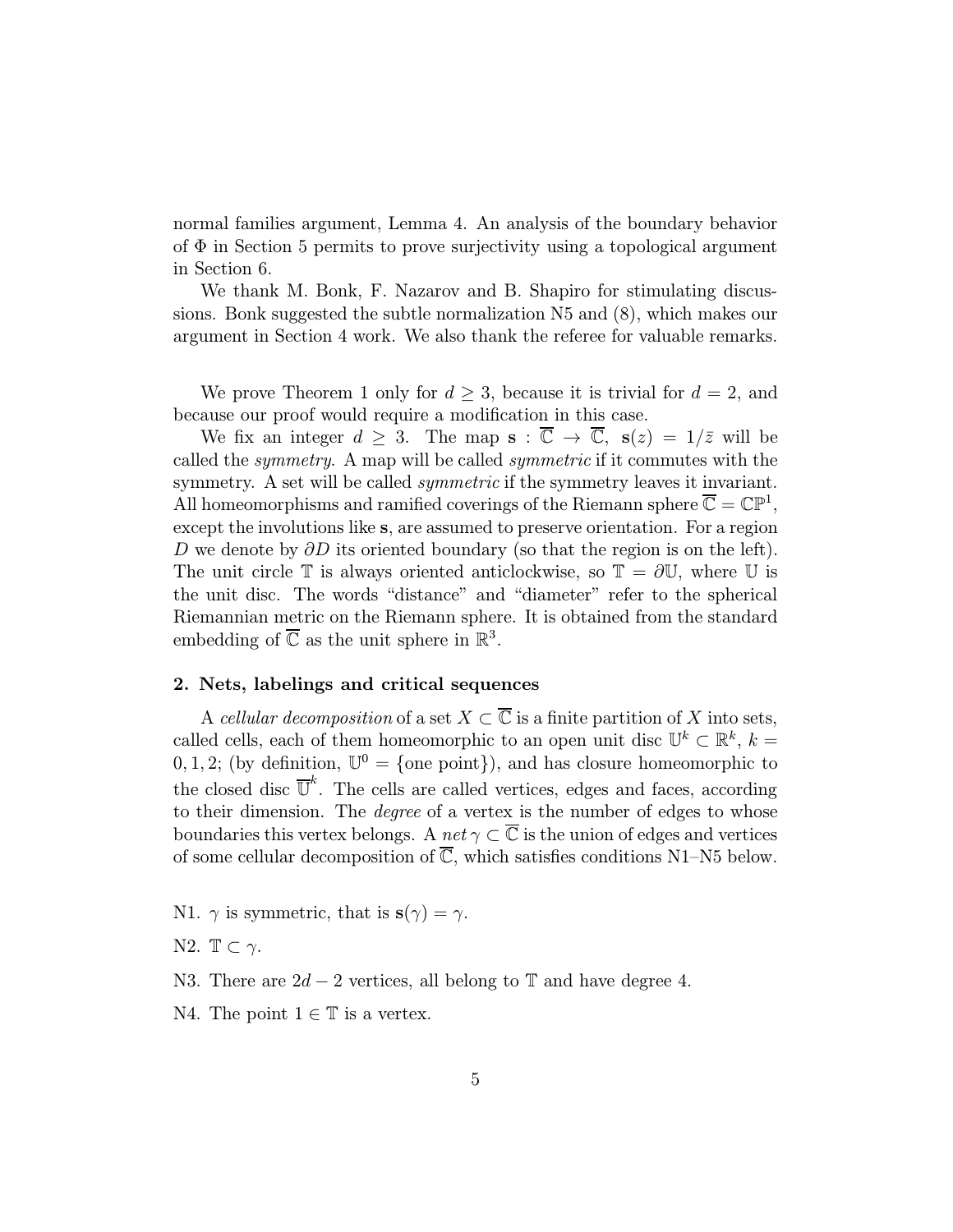normal families argument, Lemma 4. An analysis of the boundary behavior of  $\Phi$  in Section 5 permits to prove surjectivity using a topological argument in Section 6.

We thank M. Bonk, F. Nazarov and B. Shapiro for stimulating discussions. Bonk suggested the subtle normalization N5 and (8), which makes our argument in Section 4 work. We also thank the referee for valuable remarks.

We prove Theorem 1 only for  $d \geq 3$ , because it is trivial for  $d = 2$ , and because our proof would require a modification in this case.

We fix an integer  $d > 3$ . The map  $\mathbf{s} : \overline{\mathbb{C}} \to \overline{\mathbb{C}}$ ,  $\mathbf{s}(z) = 1/\overline{z}$  will be called the symmetry. A map will be called symmetric if it commutes with the symmetry. A set will be called *symmetric* if the symmetry leaves it invariant. All homeomorphisms and ramified coverings of the Riemann sphere  $\overline{\mathbb{C}} = \mathbb{CP}^1$ , except the involutions like s, are assumed to preserve orientation. For a region D we denote by  $\partial D$  its oriented boundary (so that the region is on the left). The unit circle  $\mathbb T$  is always oriented anticlockwise, so  $\mathbb T = \partial \mathbb U$ , where  $\mathbb U$  is the unit disc. The words "distance" and "diameter" refer to the spherical Riemannian metric on the Riemann sphere. It is obtained from the standard embedding of  $\overline{\mathbb{C}}$  as the unit sphere in  $\mathbb{R}^3$ .

# 2. Nets, labelings and critical sequences

A cellular decomposition of a set  $X \subset \overline{\mathbb{C}}$  is a finite partition of X into sets, called cells, each of them homeomorphic to an open unit disc  $\mathbb{U}^k \subset \mathbb{R}^k$ ,  $k =$ 0, 1, 2; (by definition,  $\mathbb{U}^0 = \{\text{one point}\}\)$ , and has closure homeomorphic to the closed disc  $\overline{U}^k$ . The cells are called vertices, edges and faces, according to their dimension. The degree of a vertex is the number of edges to whose boundaries this vertex belongs. A net  $\gamma \subset \overline{\mathbb{C}}$  is the union of edges and vertices of some cellular decomposition of  $\overline{\mathbb{C}}$ , which satisfies conditions N1–N5 below.

N1.  $\gamma$  is symmetric, that is  $s(\gamma) = \gamma$ .

N2.  $\mathbb{T} \subset \gamma$ .

N3. There are  $2d - 2$  vertices, all belong to  $\mathbb T$  and have degree 4.

N4. The point  $1 \in \mathbb{T}$  is a vertex.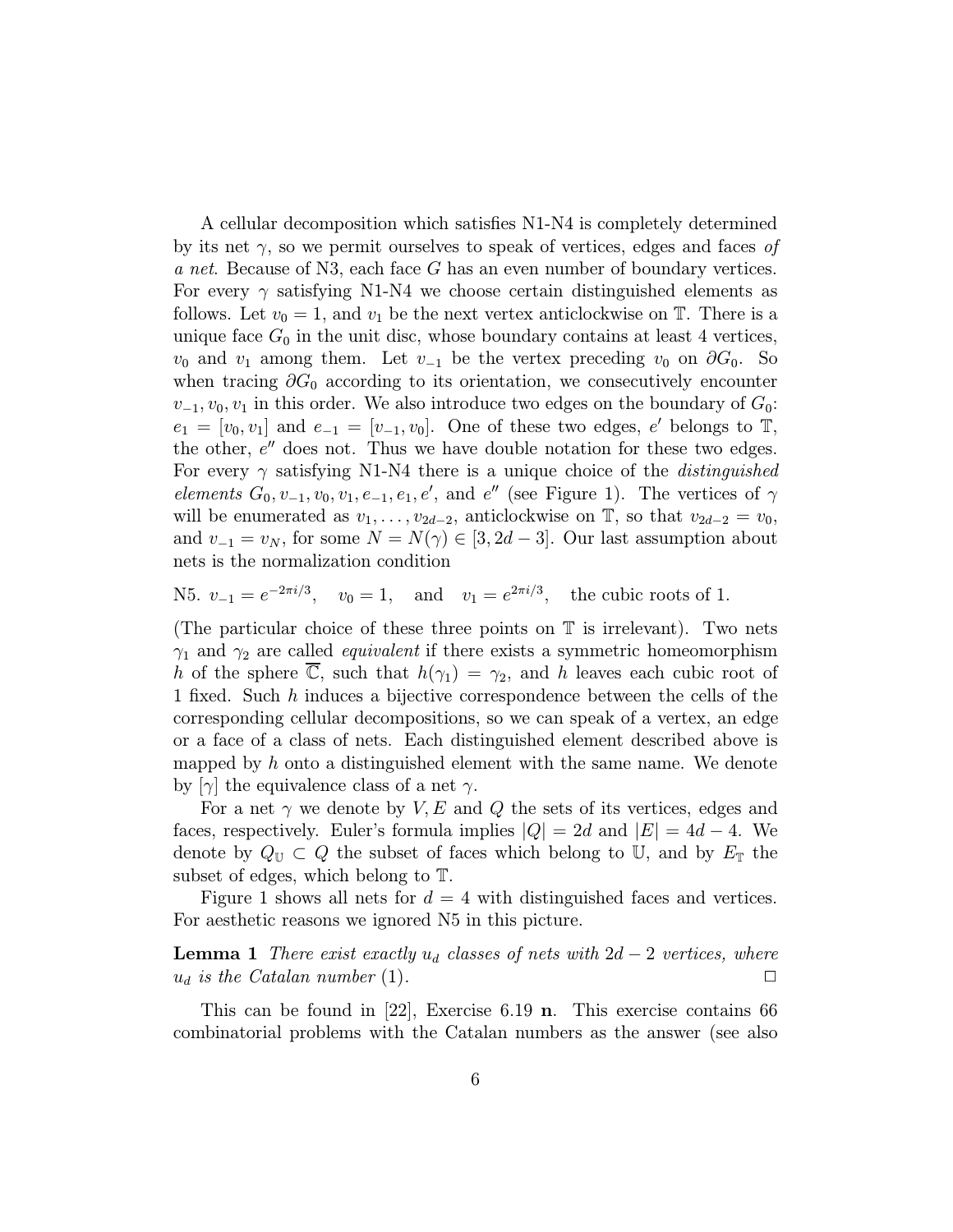A cellular decomposition which satisfies N1-N4 is completely determined by its net  $\gamma$ , so we permit ourselves to speak of vertices, edges and faces of a net. Because of N3, each face G has an even number of boundary vertices. For every  $\gamma$  satisfying N1-N4 we choose certain distinguished elements as follows. Let  $v_0 = 1$ , and  $v_1$  be the next vertex anticlockwise on  $\mathbb{T}$ . There is a unique face  $G_0$  in the unit disc, whose boundary contains at least 4 vertices,  $v_0$  and  $v_1$  among them. Let  $v_{-1}$  be the vertex preceding  $v_0$  on  $\partial G_0$ . So when tracing  $\partial G_0$  according to its orientation, we consecutively encounter  $v_{-1}, v_0, v_1$  in this order. We also introduce two edges on the boundary of  $G_0$ :  $e_1 = [v_0, v_1]$  and  $e_{-1} = [v_{-1}, v_0]$ . One of these two edges, e' belongs to T, the other,  $e^{\prime\prime}$  does not. Thus we have double notation for these two edges. For every  $\gamma$  satisfying N1-N4 there is a unique choice of the *distinguished* elements  $G_0, v_{-1}, v_0, v_1, e_{-1}, e_1, e'$ , and  $e''$  (see Figure 1). The vertices of  $\gamma$ will be enumerated as  $v_1, \ldots, v_{2d-2}$ , anticlockwise on  $\mathbb{T}$ , so that  $v_{2d-2} = v_0$ , and  $v_{-1} = v_N$ , for some  $N = N(\gamma) \in [3, 2d - 3]$ . Our last assumption about nets is the normalization condition

N5.  $v_{-1} = e^{-2\pi i/3}$ ,  $v_0 = 1$ , and  $v_1 = e^{2\pi i/3}$ , the cubic roots of 1.

(The particular choice of these three points on  $\mathbb T$  is irrelevant). Two nets  $\gamma_1$  and  $\gamma_2$  are called *equivalent* if there exists a symmetric homeomorphism h of the sphere  $\overline{\mathbb{C}}$ , such that  $h(\gamma_1) = \gamma_2$ , and h leaves each cubic root of 1 fixed. Such h induces a bijective correspondence between the cells of the corresponding cellular decompositions, so we can speak of a vertex, an edge or a face of a class of nets. Each distinguished element described above is mapped by  $h$  onto a distinguished element with the same name. We denote by  $[\gamma]$  the equivalence class of a net  $\gamma$ .

For a net  $\gamma$  we denote by V, E and Q the sets of its vertices, edges and faces, respectively. Euler's formula implies  $|Q| = 2d$  and  $|E| = 4d - 4$ . We denote by  $Q_{\mathbb{U}} \subset Q$  the subset of faces which belong to U, and by  $E_{\mathbb{T}}$  the subset of edges, which belong to T.

Figure 1 shows all nets for  $d = 4$  with distinguished faces and vertices. For aesthetic reasons we ignored N5 in this picture.

**Lemma 1** There exist exactly  $u_d$  classes of nets with  $2d - 2$  vertices, where  $u_d$  is the Catalan number (1).

This can be found in [22], Exercise 6.19 n. This exercise contains 66 combinatorial problems with the Catalan numbers as the answer (see also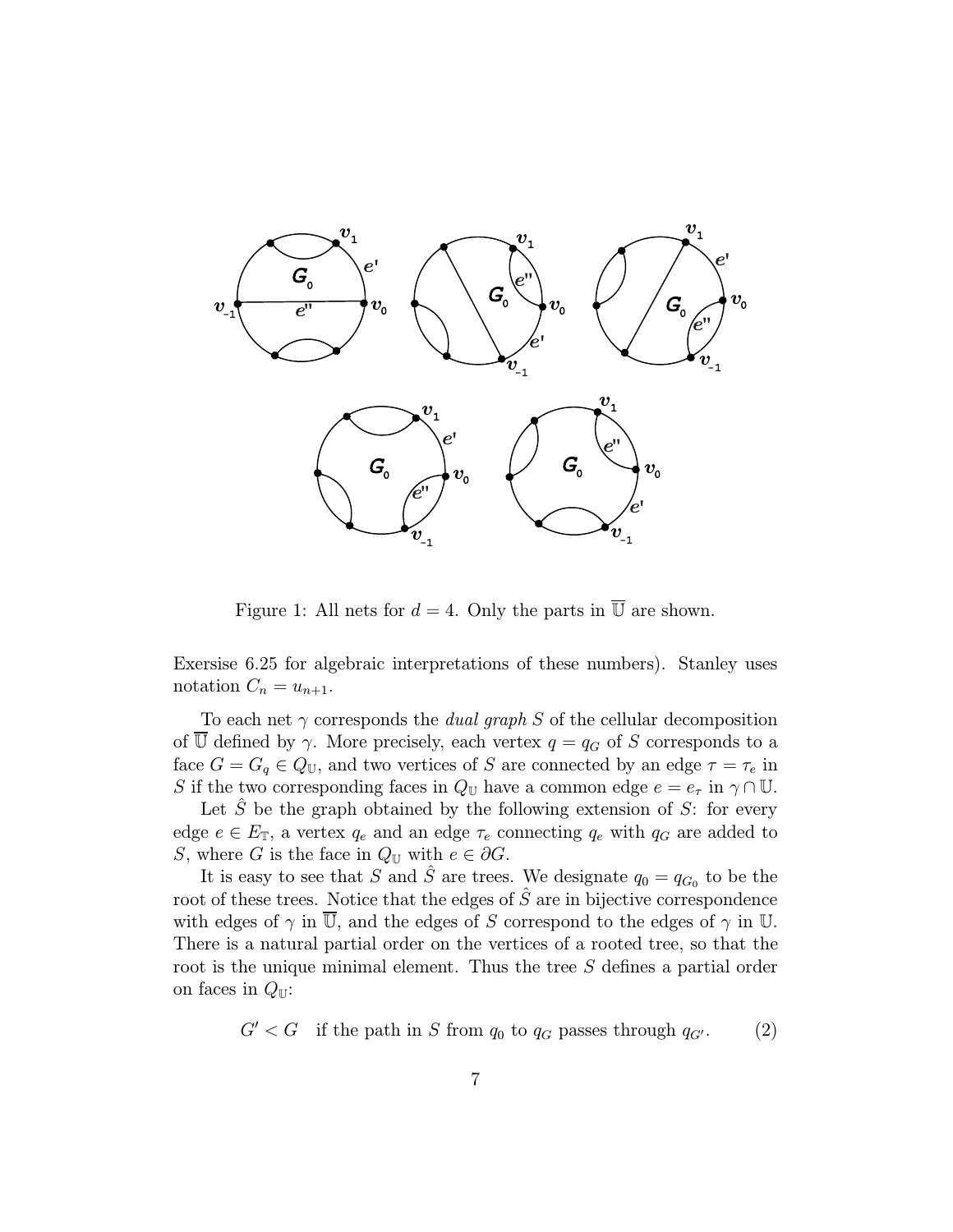

Figure 1: All nets for  $d = 4$ . Only the parts in  $\overline{U}$  are shown.

Exersise 6.25 for algebraic interpretations of these numbers). Stanley uses notation  $C_n = u_{n+1}$ .

To each net  $\gamma$  corresponds the *dual graph* S of the cellular decomposition of  $\overline{\mathbb{U}}$  defined by  $\gamma$ . More precisely, each vertex  $q = q_G$  of S corresponds to a face  $G = G_q \in Q_{\mathbb{U}}$ , and two vertices of S are connected by an edge  $\tau = \tau_e$  in S if the two corresponding faces in  $Q_U$  have a common edge  $e = e_\tau$  in  $\gamma \cap U$ .

Let S be the graph obtained by the following extension of S: for every edge  $e \in E_{\mathbb{T}}$ , a vertex  $q_e$  and an edge  $\tau_e$  connecting  $q_e$  with  $q_G$  are added to S, where G is the face in  $Q_{\mathbb{U}}$  with  $e \in \partial G$ .

It is easy to see that S and  $\hat{S}$  are trees. We designate  $q_0 = q_{G_0}$  to be the root of these trees. Notice that the edges of  $\hat{S}$  are in bijective correspondence with edges of  $\gamma$  in  $\overline{\mathbb{U}}$ , and the edges of S correspond to the edges of  $\gamma$  in  $\mathbb{U}$ . There is a natural partial order on the vertices of a rooted tree, so that the root is the unique minimal element. Thus the tree S defines a partial order on faces in  $Q_{\mathbb{U}}$ :

 $G' < G$  if the path in S from  $q_0$  to  $q_G$  passes through  $q_{G'}$ . (2)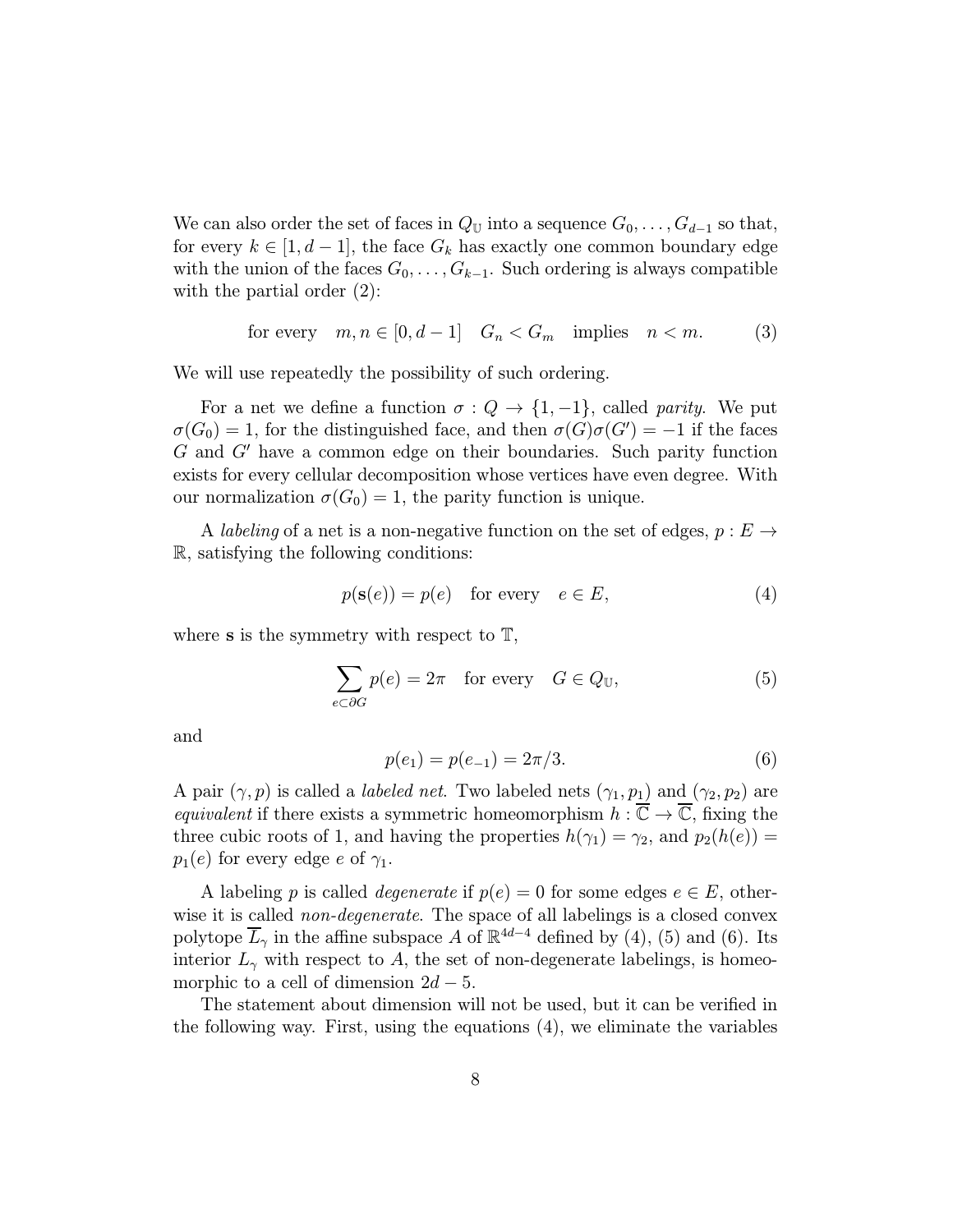We can also order the set of faces in  $Q_U$  into a sequence  $G_0, \ldots, G_{d-1}$  so that, for every  $k \in [1, d-1]$ , the face  $G_k$  has exactly one common boundary edge with the union of the faces  $G_0, \ldots, G_{k-1}$ . Such ordering is always compatible with the partial order  $(2)$ :

for every  $m, n \in [0, d-1]$   $G_n < G_m$  implies  $n < m$ . (3)

We will use repeatedly the possibility of such ordering.

For a net we define a function  $\sigma: Q \to \{1, -1\}$ , called parity. We put  $\sigma(G_0) = 1$ , for the distinguished face, and then  $\sigma(G)\sigma(G') = -1$  if the faces  $G$  and  $G'$  have a common edge on their boundaries. Such parity function exists for every cellular decomposition whose vertices have even degree. With our normalization  $\sigma(G_0) = 1$ , the parity function is unique.

A labeling of a net is a non-negative function on the set of edges,  $p : E \rightarrow$ R, satisfying the following conditions:

$$
p(\mathbf{s}(e)) = p(e) \quad \text{for every} \quad e \in E,\tag{4}
$$

where **s** is the symmetry with respect to  $\mathbb{T}$ ,

$$
\sum_{e \subset \partial G} p(e) = 2\pi \quad \text{for every} \quad G \in Q_{\mathbb{U}},\tag{5}
$$

and

$$
p(e_1) = p(e_{-1}) = 2\pi/3.
$$
 (6)

A pair  $(\gamma, p)$  is called a *labeled net*. Two labeled nets  $(\gamma_1, p_1)$  and  $(\gamma_2, p_2)$  are equivalent if there exists a symmetric homeomorphism  $h : \overline{\mathbb{C}} \to \overline{\mathbb{C}}$ , fixing the three cubic roots of 1, and having the properties  $h(\gamma_1) = \gamma_2$ , and  $p_2(h(e)) =$  $p_1(e)$  for every edge e of  $\gamma_1$ .

A labeling p is called *degenerate* if  $p(e) = 0$  for some edges  $e \in E$ , otherwise it is called *non-degenerate*. The space of all labelings is a closed convex polytope  $\overline{L}_{\gamma}$  in the affine subspace A of  $\mathbb{R}^{4d-4}$  defined by (4), (5) and (6). Its interior  $L_{\gamma}$  with respect to A, the set of non-degenerate labelings, is homeomorphic to a cell of dimension  $2d - 5$ .

The statement about dimension will not be used, but it can be verified in the following way. First, using the equations (4), we eliminate the variables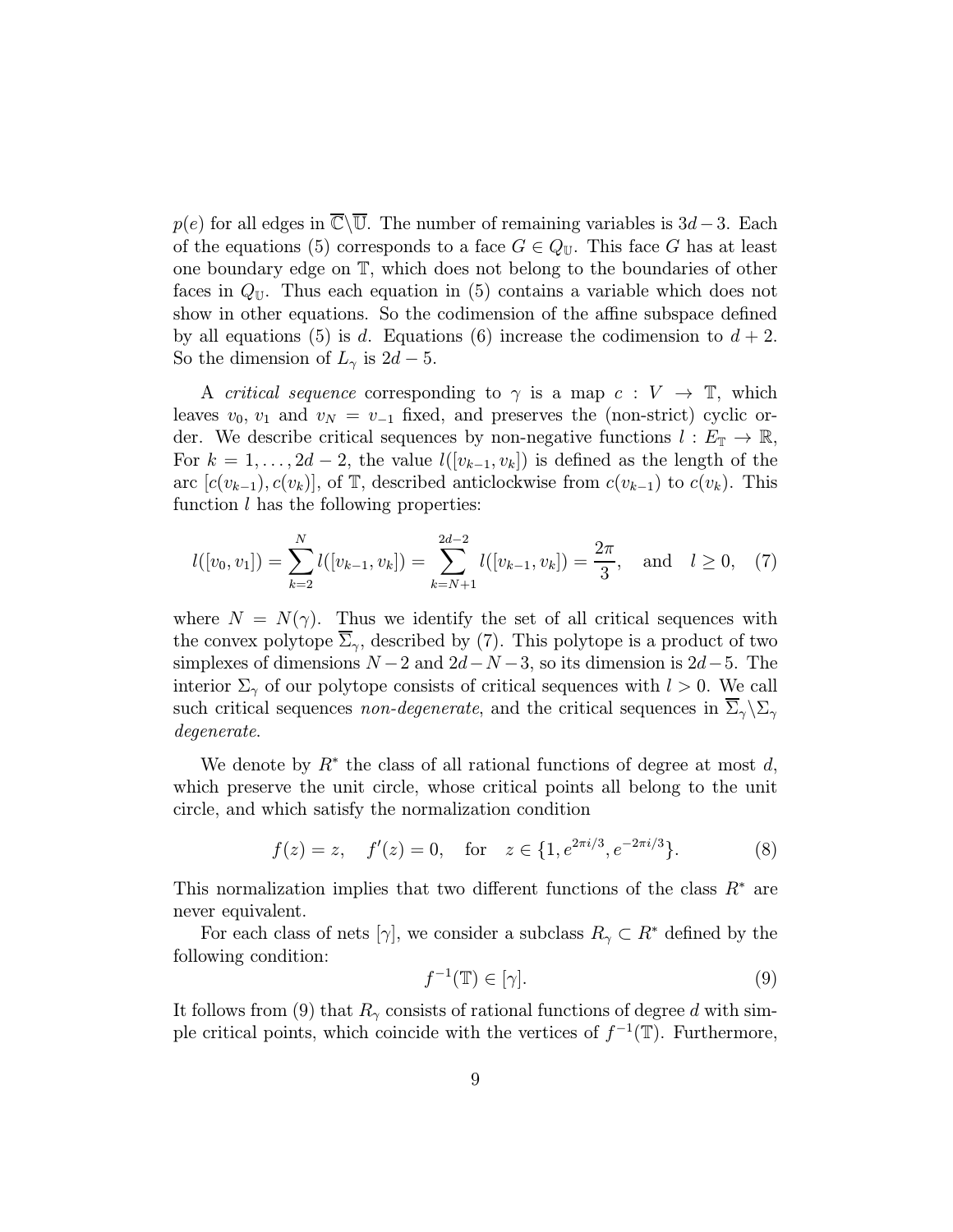$p(e)$  for all edges in  $\overline{\mathbb{C}}\backslash\overline{\mathbb{U}}$ . The number of remaining variables is 3d – 3. Each of the equations (5) corresponds to a face  $G \in Q_{U}$ . This face G has at least one boundary edge on T, which does not belong to the boundaries of other faces in  $Q_{\mathbb{U}}$ . Thus each equation in (5) contains a variable which does not show in other equations. So the codimension of the affine subspace defined by all equations (5) is d. Equations (6) increase the codimension to  $d + 2$ . So the dimension of  $L_{\gamma}$  is  $2d-5$ .

A *critical sequence* corresponding to  $\gamma$  is a map  $c: V \to \mathbb{T}$ , which leaves  $v_0$ ,  $v_1$  and  $v_N = v_{-1}$  fixed, and preserves the (non-strict) cyclic order. We describe critical sequences by non-negative functions  $l : E_{\mathbb{T}} \to \mathbb{R}$ , For  $k = 1, \ldots, 2d - 2$ , the value  $l([v_{k-1}, v_k])$  is defined as the length of the arc  $[c(v_{k-1}), c(v_k)]$ , of T, described anticlockwise from  $c(v_{k-1})$  to  $c(v_k)$ . This function  $l$  has the following properties:

$$
l([v_0, v_1]) = \sum_{k=2}^{N} l([v_{k-1}, v_k]) = \sum_{k=N+1}^{2d-2} l([v_{k-1}, v_k]) = \frac{2\pi}{3}, \text{ and } l \ge 0, (7)
$$

where  $N = N(\gamma)$ . Thus we identify the set of all critical sequences with the convex polytope  $\overline{\Sigma}_{\gamma}$ , described by (7). This polytope is a product of two simplexes of dimensions  $N-2$  and  $2d-N-3$ , so its dimension is  $2d-5$ . The interior  $\Sigma_{\gamma}$  of our polytope consists of critical sequences with  $l > 0$ . We call such critical sequences non-degenerate, and the critical sequences in  $\overline{\Sigma}_{\gamma} \backslash \Sigma_{\gamma}$ degenerate.

We denote by  $R^*$  the class of all rational functions of degree at most d, which preserve the unit circle, whose critical points all belong to the unit circle, and which satisfy the normalization condition

$$
f(z) = z
$$
,  $f'(z) = 0$ , for  $z \in \{1, e^{2\pi i/3}, e^{-2\pi i/3}\}$ . (8)

This normalization implies that two different functions of the class  $R^*$  are never equivalent.

For each class of nets [ $\gamma$ ], we consider a subclass  $R_{\gamma} \subset R^*$  defined by the following condition:

$$
f^{-1}(\mathbb{T}) \in [\gamma]. \tag{9}
$$

It follows from (9) that  $R_{\gamma}$  consists of rational functions of degree d with simple critical points, which coincide with the vertices of  $f^{-1}(\mathbb{T})$ . Furthermore,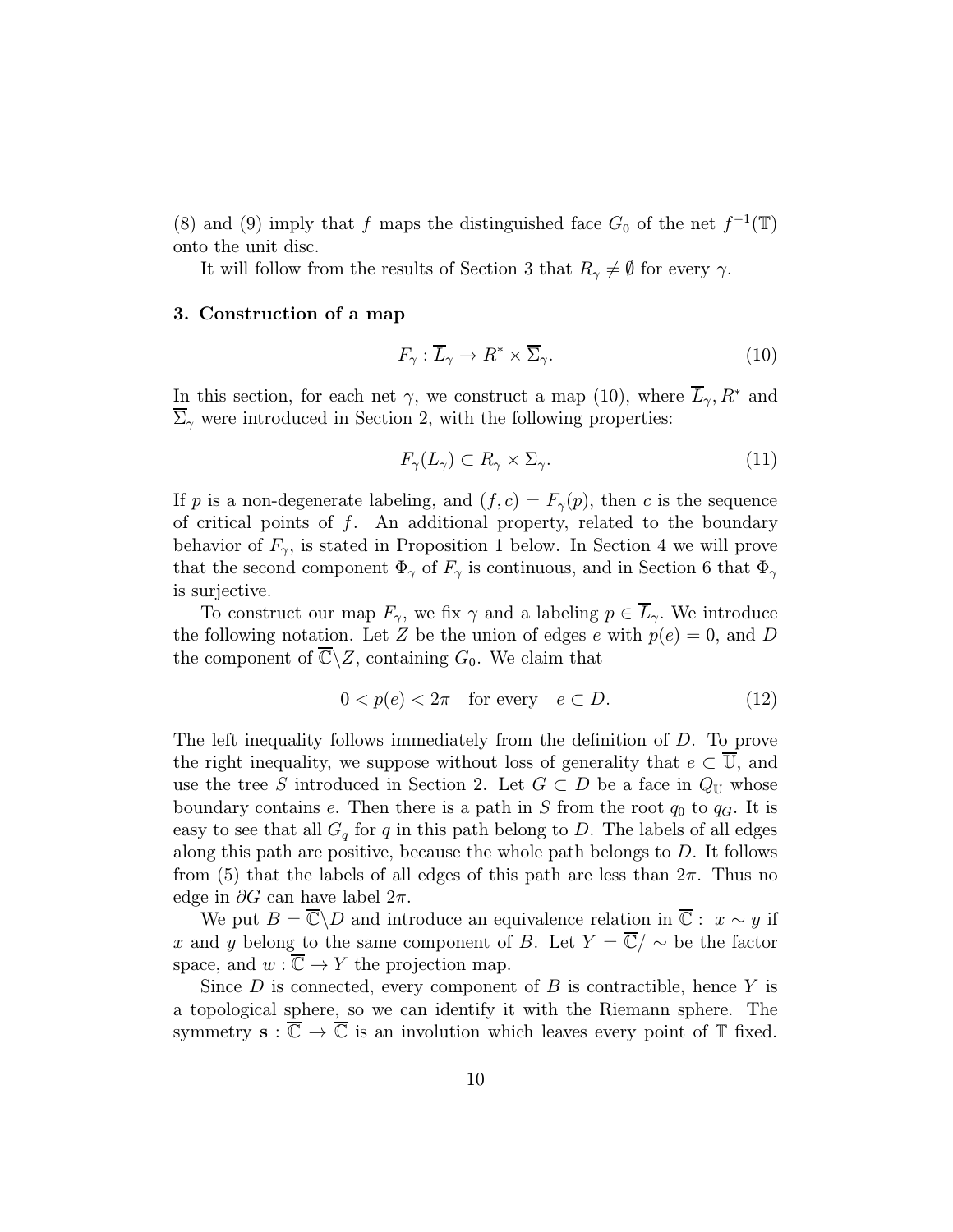(8) and (9) imply that f maps the distinguished face  $G_0$  of the net  $f^{-1}(\mathbb{T})$ onto the unit disc.

It will follow from the results of Section 3 that  $R_{\gamma} \neq \emptyset$  for every  $\gamma$ .

# 3. Construction of a map

$$
F_{\gamma} : \overline{L}_{\gamma} \to R^* \times \overline{\Sigma}_{\gamma}.
$$
 (10)

In this section, for each net  $\gamma$ , we construct a map (10), where  $\overline{L}_{\gamma}$ ,  $R^*$  and  $\overline{\Sigma}_{\gamma}$  were introduced in Section 2, with the following properties:

$$
F_{\gamma}(L_{\gamma}) \subset R_{\gamma} \times \Sigma_{\gamma}.\tag{11}
$$

If p is a non-degenerate labeling, and  $(f, c) = F_{\gamma}(p)$ , then c is the sequence of critical points of  $f$ . An additional property, related to the boundary behavior of  $F_{\gamma}$ , is stated in Proposition 1 below. In Section 4 we will prove that the second component  $\Phi_{\gamma}$  of  $F_{\gamma}$  is continuous, and in Section 6 that  $\Phi_{\gamma}$ is surjective.

To construct our map  $F_{\gamma}$ , we fix  $\gamma$  and a labeling  $p \in \overline{L}_{\gamma}$ . We introduce the following notation. Let Z be the union of edges e with  $p(e) = 0$ , and D the component of  $\overline{\mathbb{C}} \backslash Z$ , containing  $G_0$ . We claim that

$$
0 < p(e) < 2\pi \quad \text{for every} \quad e \subset D. \tag{12}
$$

The left inequality follows immediately from the definition of D. To prove the right inequality, we suppose without loss of generality that  $e \subset \overline{\mathbb{U}}$ , and use the tree S introduced in Section 2. Let  $G \subset D$  be a face in  $Q_U$  whose boundary contains e. Then there is a path in S from the root  $q_0$  to  $q_G$ . It is easy to see that all  $G_q$  for q in this path belong to D. The labels of all edges along this path are positive, because the whole path belongs to D. It follows from (5) that the labels of all edges of this path are less than  $2\pi$ . Thus no edge in  $\partial G$  can have label  $2\pi$ .

We put  $B = \overline{\mathbb{C}} \backslash D$  and introduce an equivalence relation in  $\overline{\mathbb{C}} : x \sim y$  if x and y belong to the same component of B. Let  $Y = \overline{\mathbb{C}} / \sim$  be the factor space, and  $w : \overline{\mathbb{C}} \to Y$  the projection map.

Since  $D$  is connected, every component of  $B$  is contractible, hence  $Y$  is a topological sphere, so we can identify it with the Riemann sphere. The symmetry  $\mathbf{s} : \overline{\mathbb{C}} \to \overline{\mathbb{C}}$  is an involution which leaves every point of  $\mathbb{T}$  fixed.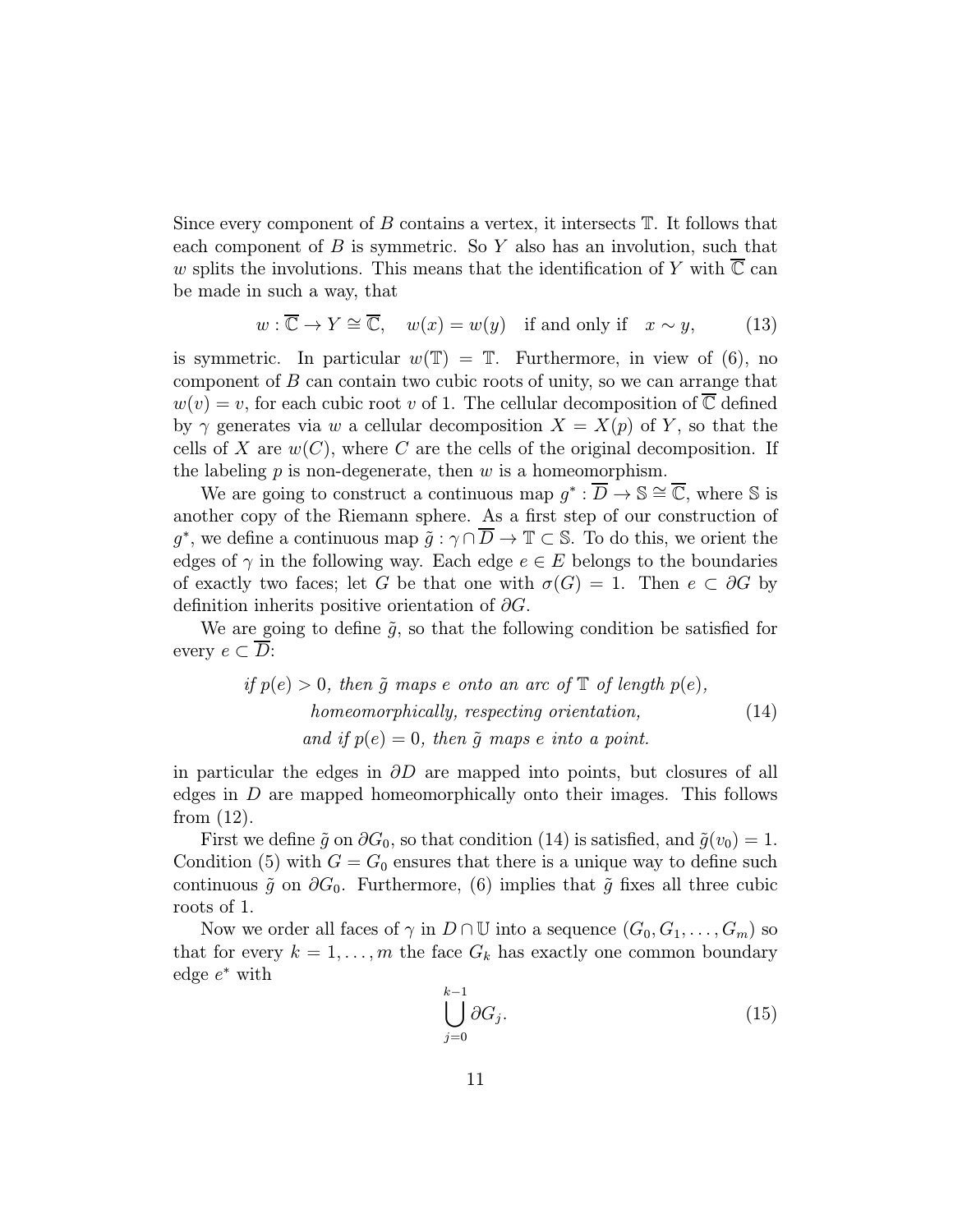Since every component of  $B$  contains a vertex, it intersects  $\mathbb T$ . It follows that each component of  $B$  is symmetric. So  $Y$  also has an involution, such that w splits the involutions. This means that the identification of Y with  $\mathbb C$  can be made in such a way, that

$$
w: \overline{\mathbb{C}} \to Y \cong \overline{\mathbb{C}}, \quad w(x) = w(y) \quad \text{if and only if} \quad x \sim y,\tag{13}
$$

is symmetric. In particular  $w(\mathbb{T}) = \mathbb{T}$ . Furthermore, in view of (6), no component of  $B$  can contain two cubic roots of unity, so we can arrange that  $w(v) = v$ , for each cubic root v of 1. The cellular decomposition of  $\overline{\mathbb{C}}$  defined by  $\gamma$  generates via w a cellular decomposition  $X = X(p)$  of Y, so that the cells of X are  $w(C)$ , where C are the cells of the original decomposition. If the labeling  $p$  is non-degenerate, then  $w$  is a homeomorphism.

We are going to construct a continuous map  $g^* : \overline{D} \to \mathbb{S} \cong \overline{\mathbb{C}}$ , where  $\mathbb S$  is another copy of the Riemann sphere. As a first step of our construction of g<sup>∗</sup>, we define a continuous map  $\tilde{g} : \gamma \cap \overline{D} \to \mathbb{T} \subset \mathbb{S}$ . To do this, we orient the edges of  $\gamma$  in the following way. Each edge  $e \in E$  belongs to the boundaries of exactly two faces; let G be that one with  $\sigma(G) = 1$ . Then  $e \subset \partial G$  by definition inherits positive orientation of  $\partial G$ .

We are going to define  $\tilde{g}$ , so that the following condition be satisfied for every  $e \subset \overline{D}$ :

if 
$$
p(e) > 0
$$
, then  $\tilde{g}$  maps e onto an arc of  $\mathbb{T}$  of length  $p(e)$ ,  
homeomorphically, respectively, orientation,  
and if  $p(e) = 0$ , then  $\tilde{g}$  maps e into a point. (14)

in particular the edges in  $\partial D$  are mapped into points, but closures of all edges in  $D$  are mapped homeomorphically onto their images. This follows from (12).

First we define  $\tilde{g}$  on  $\partial G_0$ , so that condition (14) is satisfied, and  $\tilde{g}(v_0) = 1$ . Condition (5) with  $G = G_0$  ensures that there is a unique way to define such continuous  $\tilde{g}$  on  $\partial G_0$ . Furthermore, (6) implies that  $\tilde{g}$  fixes all three cubic roots of 1.

Now we order all faces of  $\gamma$  in  $D \cap \mathbb{U}$  into a sequence  $(G_0, G_1, \ldots, G_m)$  so that for every  $k = 1, ..., m$  the face  $G_k$  has exactly one common boundary edge  $e^*$  with

$$
\bigcup_{j=0}^{k-1} \partial G_j. \tag{15}
$$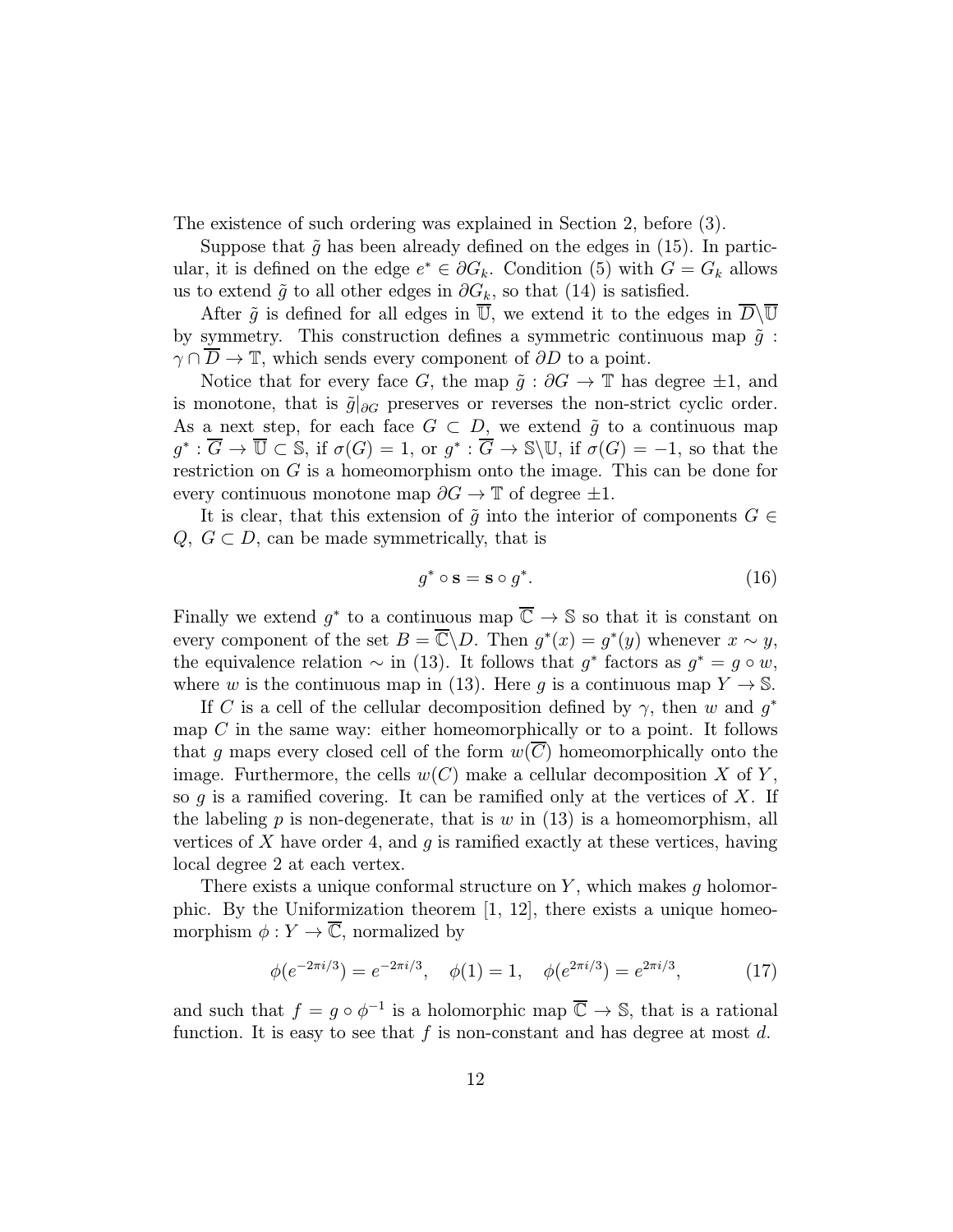The existence of such ordering was explained in Section 2, before (3).

Suppose that  $\tilde{g}$  has been already defined on the edges in (15). In particular, it is defined on the edge  $e^* \in \partial G_k$ . Condition (5) with  $G = G_k$  allows us to extend  $\tilde{g}$  to all other edges in  $\partial G_k$ , so that (14) is satisfied.

After  $\tilde{g}$  is defined for all edges in  $\overline{U}$ , we extend it to the edges in  $\overline{D}\backslash\overline{U}$ by symmetry. This construction defines a symmetric continuous map  $\tilde{q}$ :  $\gamma \cap D \to \mathbb{T}$ , which sends every component of  $\partial D$  to a point.

Notice that for every face G, the map  $\tilde{g}$  :  $\partial G \to \mathbb{T}$  has degree  $\pm 1$ , and is monotone, that is  $\tilde{g}|_{\partial G}$  preserves or reverses the non-strict cyclic order. As a next step, for each face  $G \subset D$ , we extend  $\tilde{g}$  to a continuous map  $g^* : \overline{G} \to \overline{\mathbb{U}} \subset \mathbb{S}$ , if  $\sigma(G) = 1$ , or  $g^* : \overline{G} \to \mathbb{S} \backslash \mathbb{U}$ , if  $\sigma(G) = -1$ , so that the restriction on G is a homeomorphism onto the image. This can be done for every continuous monotone map  $\partial G \to \mathbb{T}$  of degree  $\pm 1$ .

It is clear, that this extension of  $\tilde{q}$  into the interior of components  $G \in$  $Q, G \subset D$ , can be made symmetrically, that is

$$
g^* \circ \mathbf{s} = \mathbf{s} \circ g^*.\tag{16}
$$

Finally we extend  $q^*$  to a continuous map  $\overline{\mathbb{C}} \to \mathbb{S}$  so that it is constant on every component of the set  $B = \overline{\mathbb{C}} \backslash D$ . Then  $g^*(x) = g^*(y)$  whenever  $x \sim y$ , the equivalence relation  $\sim$  in (13). It follows that  $g^*$  factors as  $g^* = g \circ w$ , where w is the continuous map in (13). Here g is a continuous map  $Y \to \mathbb{S}$ .

If C is a cell of the cellular decomposition defined by  $\gamma$ , then w and  $g^*$ map  $C$  in the same way: either homeomorphically or to a point. It follows that g maps every closed cell of the form  $w(C)$  homeomorphically onto the image. Furthermore, the cells  $w(C)$  make a cellular decomposition X of Y, so  $g$  is a ramified covering. It can be ramified only at the vertices of  $X$ . If the labeling  $p$  is non-degenerate, that is  $w$  in (13) is a homeomorphism, all vertices of X have order 4, and  $g$  is ramified exactly at these vertices, having local degree 2 at each vertex.

There exists a unique conformal structure on  $Y$ , which makes  $g$  holomorphic. By the Uniformization theorem  $[1, 12]$ , there exists a unique homeomorphism  $\phi: Y \to \overline{\mathbb{C}}$ , normalized by

$$
\phi(e^{-2\pi i/3}) = e^{-2\pi i/3}, \quad \phi(1) = 1, \quad \phi(e^{2\pi i/3}) = e^{2\pi i/3}, \tag{17}
$$

and such that  $f = g \circ \phi^{-1}$  is a holomorphic map  $\overline{\mathbb{C}} \to \mathbb{S}$ , that is a rational function. It is easy to see that f is non-constant and has degree at most  $d$ .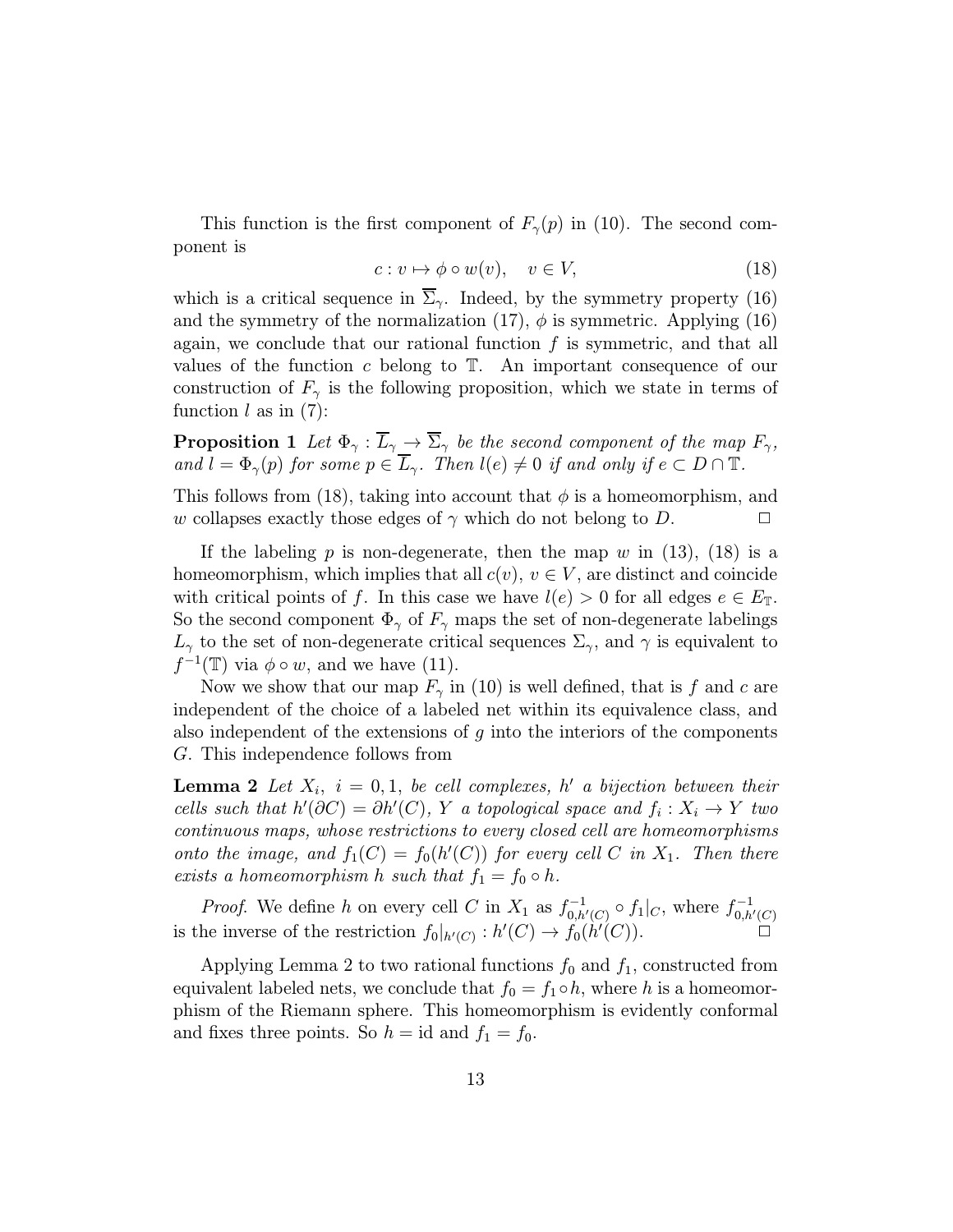This function is the first component of  $F_{\gamma}(p)$  in (10). The second component is

$$
c: v \mapsto \phi \circ w(v), \quad v \in V,\tag{18}
$$

which is a critical sequence in  $\Sigma_{\gamma}$ . Indeed, by the symmetry property (16) and the symmetry of the normalization (17),  $\phi$  is symmetric. Applying (16) again, we conclude that our rational function  $f$  is symmetric, and that all values of the function  $c$  belong to  $\mathbb{T}$ . An important consequence of our construction of  $F_{\gamma}$  is the following proposition, which we state in terms of function  $l$  as in  $(7)$ :

**Proposition 1** Let  $\Phi_{\gamma}: \overline{L}_{\gamma} \to \overline{\Sigma}_{\gamma}$  be the second component of the map  $F_{\gamma}$ , and  $l = \Phi_{\gamma}(p)$  for some  $p \in \overline{L}_{\gamma}$ . Then  $l(e) \neq 0$  if and only if  $e \subset D \cap \mathbb{T}$ .

This follows from (18), taking into account that  $\phi$  is a homeomorphism, and w collapses exactly those edges of  $\gamma$  which do not belong to D.  $\Box$ 

If the labeling p is non-degenerate, then the map w in  $(13)$ ,  $(18)$  is a homeomorphism, which implies that all  $c(v)$ ,  $v \in V$ , are distinct and coincide with critical points of f. In this case we have  $l(e) > 0$  for all edges  $e \in E_{\mathbb{T}}$ . So the second component  $\Phi_{\gamma}$  of  $F_{\gamma}$  maps the set of non-degenerate labelings  $L_{\gamma}$  to the set of non-degenerate critical sequences  $\Sigma_{\gamma}$ , and  $\gamma$  is equivalent to  $f^{-1}(\mathbb{T})$  via  $\phi \circ w$ , and we have (11).

Now we show that our map  $F_{\gamma}$  in (10) is well defined, that is f and c are independent of the choice of a labeled net within its equivalence class, and also independent of the extensions of  $g$  into the interiors of the components G. This independence follows from

**Lemma 2** Let  $X_i$ ,  $i = 0, 1$ , be cell complexes, h' a bijection between their cells such that  $h'(\partial C) = \partial h'(C)$ , Y a topological space and  $f_i : X_i \to Y$  two continuous maps, whose restrictions to every closed cell are homeomorphisms onto the image, and  $f_1(C) = f_0(h'(C))$  for every cell C in  $X_1$ . Then there exists a homeomorphism h such that  $f_1 = f_0 \circ h$ .

*Proof.* We define h on every cell C in  $X_1$  as  $f_{0,h'(C)}^{-1} \circ f_1|_C$ , where  $f_{0,h'(C)}^{-1}$ is the inverse of the restriction  $f_0|_{h'(C)} : h'(C) \to f_0(h'(C))$ .

Applying Lemma 2 to two rational functions  $f_0$  and  $f_1$ , constructed from equivalent labeled nets, we conclude that  $f_0 = f_1 \circ h$ , where h is a homeomorphism of the Riemann sphere. This homeomorphism is evidently conformal and fixes three points. So  $h = id$  and  $f_1 = f_0$ .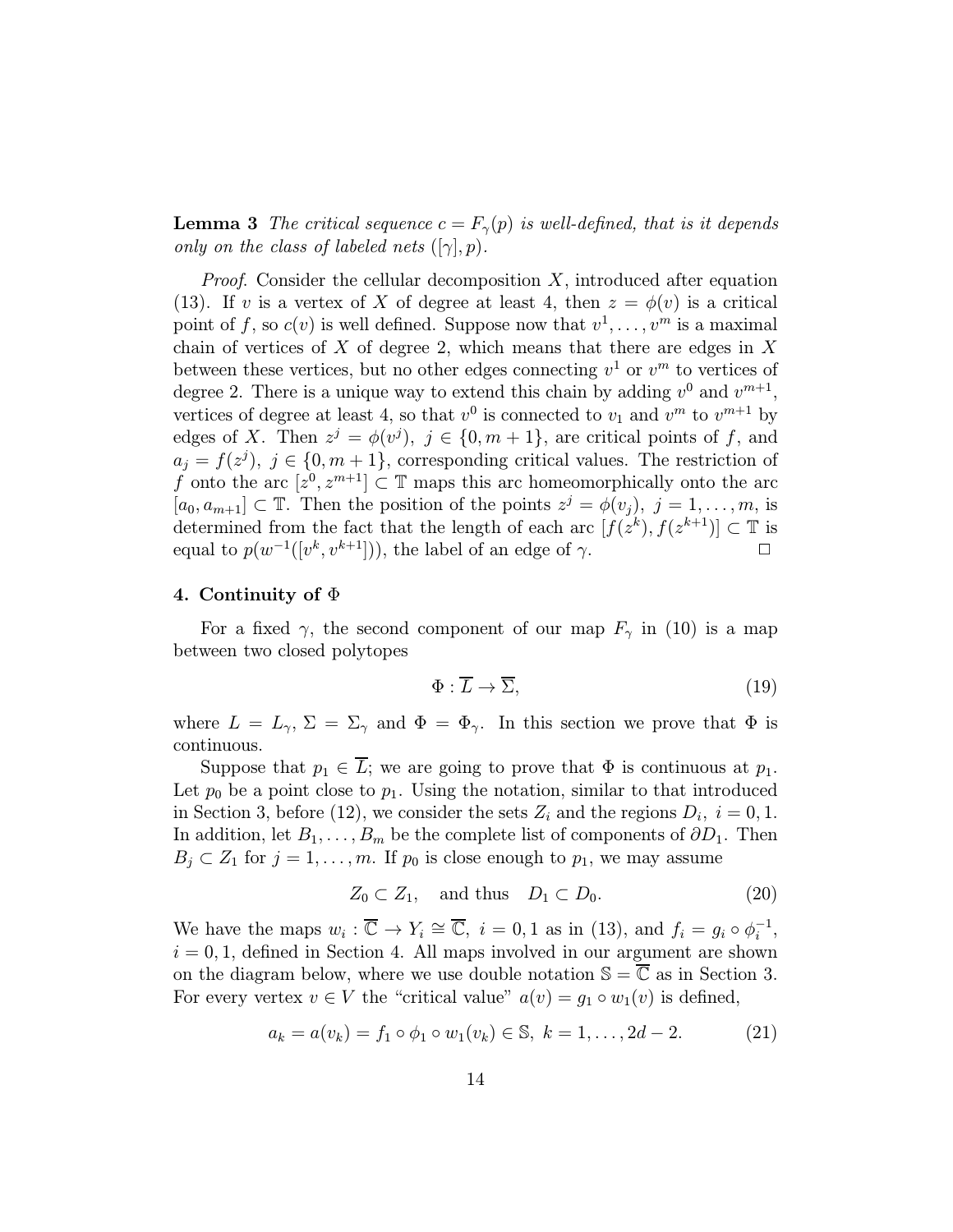**Lemma 3** The critical sequence  $c = F_{\gamma}(p)$  is well-defined, that is it depends only on the class of labeled nets  $([\gamma], p)$ .

*Proof.* Consider the cellular decomposition  $X$ , introduced after equation (13). If v is a vertex of X of degree at least 4, then  $z = \phi(v)$  is a critical point of f, so  $c(v)$  is well defined. Suppose now that  $v^1, \ldots, v^m$  is a maximal chain of vertices of  $X$  of degree 2, which means that there are edges in  $X$ between these vertices, but no other edges connecting  $v^1$  or  $v^m$  to vertices of degree 2. There is a unique way to extend this chain by adding  $v^0$  and  $v^{m+1}$ , vertices of degree at least 4, so that  $v^0$  is connected to  $v_1$  and  $v^m$  to  $v^{m+1}$  by edges of X. Then  $z^j = \phi(v^j)$ ,  $j \in \{0, m+1\}$ , are critical points of f, and  $a_j = f(z^j), j \in \{0, m+1\},$  corresponding critical values. The restriction of f onto the arc  $[z^0, z^{m+1}] \subset \mathbb{T}$  maps this arc homeomorphically onto the arc  $[a_0, a_{m+1}] \subset \mathbb{T}$ . Then the position of the points  $z^j = \phi(v_j)$ ,  $j = 1, \ldots, m$ , is determined from the fact that the length of each arc  $[f(z^k), f(z^{k+1})] \subset \mathbb{T}$  is equal to  $p(w^{-1}([v^k, v^{k+1}]))$ , the label of an edge of  $\gamma$ .

#### 4. Continuity of  $\Phi$

For a fixed  $\gamma$ , the second component of our map  $F_{\gamma}$  in (10) is a map between two closed polytopes

$$
\Phi : \overline{L} \to \overline{\Sigma},\tag{19}
$$

where  $L = L_{\gamma}$ ,  $\Sigma = \Sigma_{\gamma}$  and  $\Phi = \Phi_{\gamma}$ . In this section we prove that  $\Phi$  is continuous.

Suppose that  $p_1 \in \overline{L}$ ; we are going to prove that  $\Phi$  is continuous at  $p_1$ . Let  $p_0$  be a point close to  $p_1$ . Using the notation, similar to that introduced in Section 3, before (12), we consider the sets  $Z_i$  and the regions  $D_i$ ,  $i = 0, 1$ . In addition, let  $B_1, \ldots, B_m$  be the complete list of components of  $\partial D_1$ . Then  $B_j \subset Z_1$  for  $j = 1, \ldots, m$ . If  $p_0$  is close enough to  $p_1$ , we may assume

$$
Z_0 \subset Z_1, \quad \text{and thus} \quad D_1 \subset D_0. \tag{20}
$$

We have the maps  $w_i : \overline{\mathbb{C}} \to Y_i \cong \overline{\mathbb{C}}$ ,  $i = 0, 1$  as in (13), and  $f_i = g_i \circ \phi_i^{-1}$ ,  $i = 0, 1$ , defined in Section 4. All maps involved in our argument are shown on the diagram below, where we use double notation  $\mathbb{S} = \overline{\mathbb{C}}$  as in Section 3. For every vertex  $v \in V$  the "critical value"  $a(v) = g_1 \circ w_1(v)$  is defined,

$$
a_k = a(v_k) = f_1 \circ \phi_1 \circ w_1(v_k) \in \mathbb{S}, \ k = 1, \dots, 2d - 2. \tag{21}
$$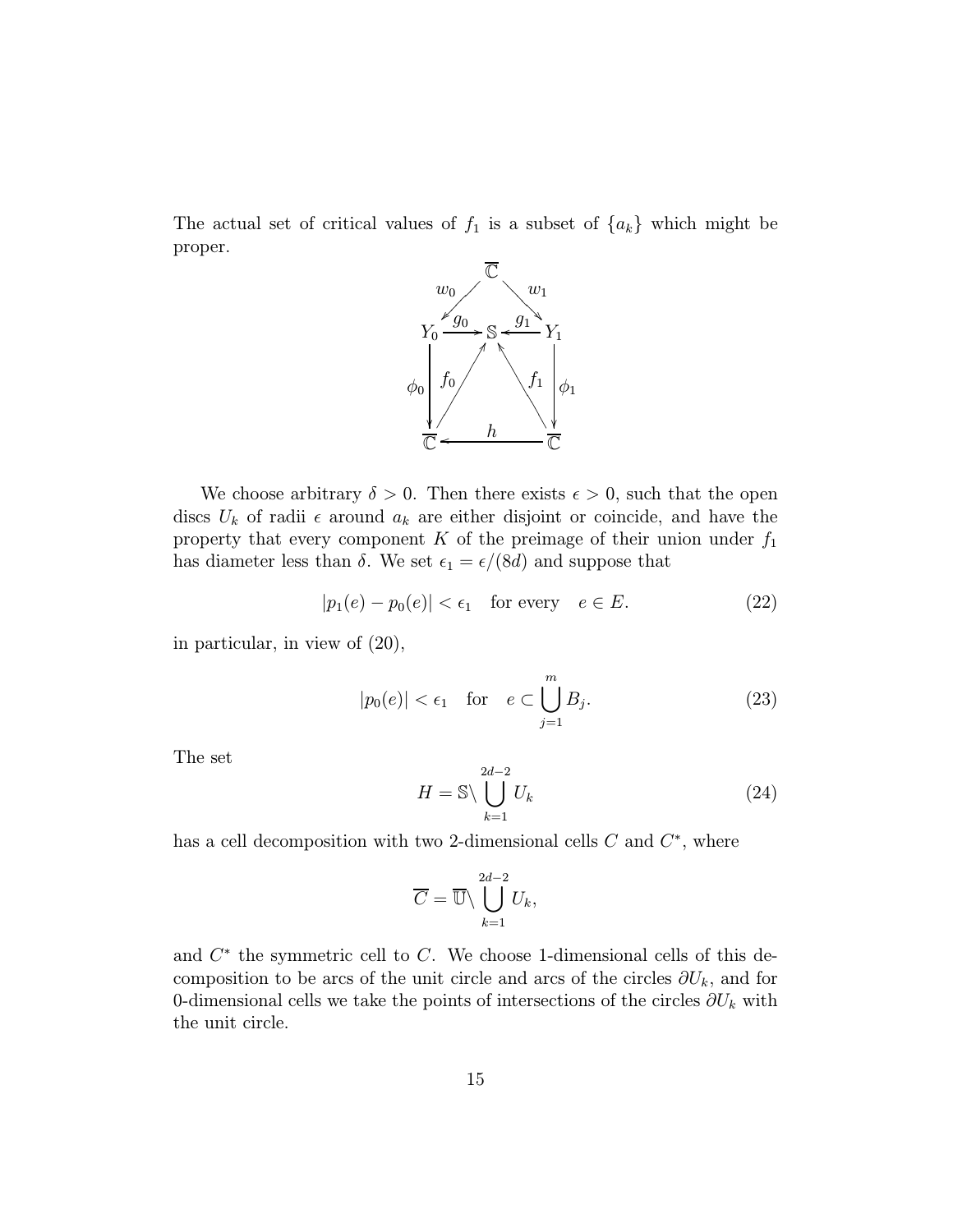The actual set of critical values of  $f_1$  is a subset of  $\{a_k\}$  which might be proper.



We choose arbitrary  $\delta > 0$ . Then there exists  $\epsilon > 0$ , such that the open discs  $U_k$  of radii  $\epsilon$  around  $a_k$  are either disjoint or coincide, and have the property that every component K of the preimage of their union under  $f_1$ has diameter less than  $\delta$ . We set  $\epsilon_1 = \epsilon/(8d)$  and suppose that

$$
|p_1(e) - p_0(e)| < \epsilon_1 \quad \text{for every} \quad e \in E. \tag{22}
$$

in particular, in view of (20),

$$
|p_0(e)| < \epsilon_1 \quad \text{for} \quad e \subset \bigcup_{j=1}^m B_j. \tag{23}
$$

The set

$$
H = \mathbb{S} \backslash \bigcup_{k=1}^{2d-2} U_k
$$
\n(24)

has a cell decomposition with two 2-dimensional cells  $C$  and  $C^*$ , where

$$
\overline{C} = \overline{\mathbb{U}} \setminus \bigcup_{k=1}^{2d-2} U_k,
$$

and  $C^*$  the symmetric cell to  $C$ . We choose 1-dimensional cells of this decomposition to be arcs of the unit circle and arcs of the circles  $\partial U_k$ , and for 0-dimensional cells we take the points of intersections of the circles  $\partial U_k$  with the unit circle.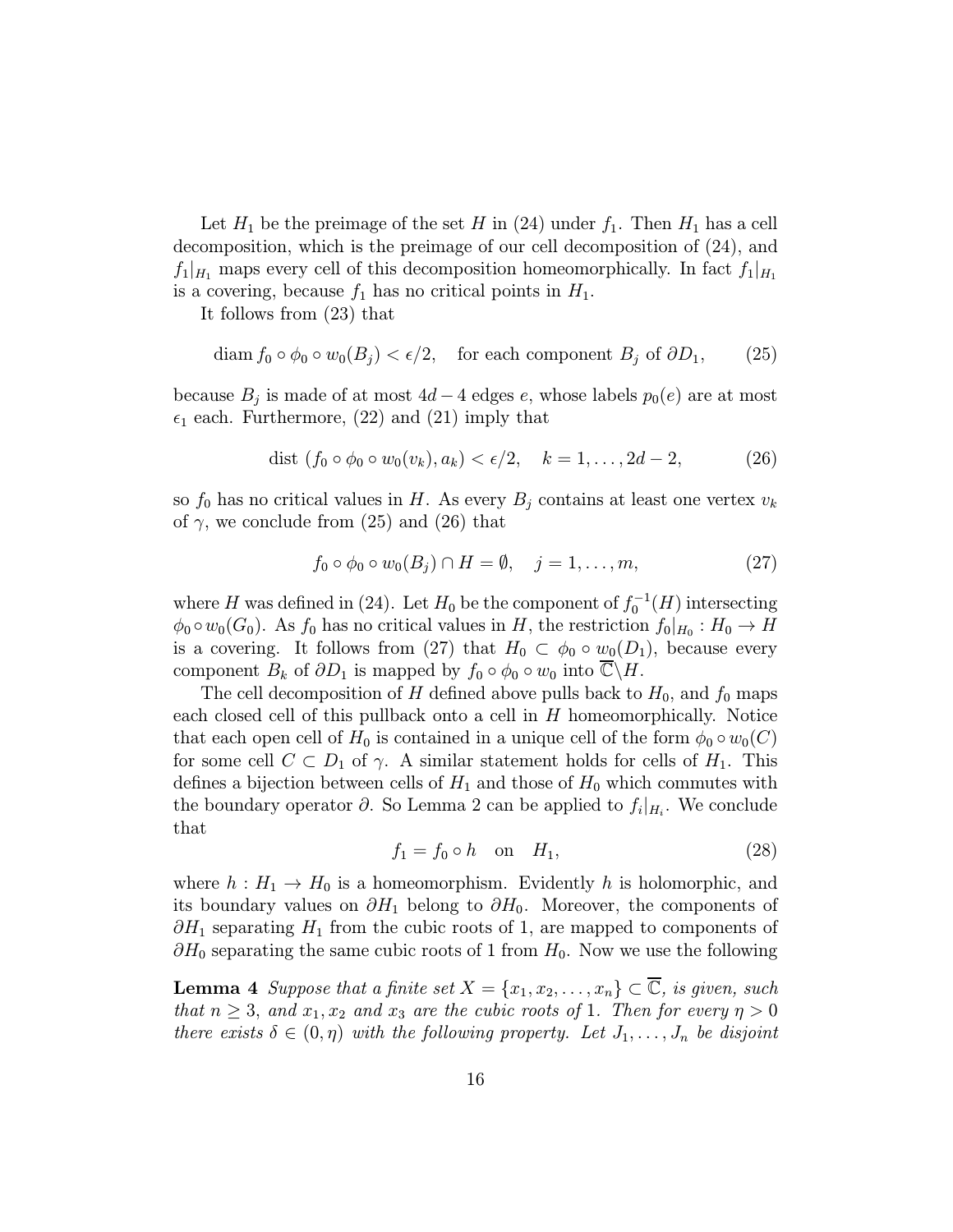Let  $H_1$  be the preimage of the set H in (24) under  $f_1$ . Then  $H_1$  has a cell decomposition, which is the preimage of our cell decomposition of (24), and  $f_1|_{H_1}$  maps every cell of this decomposition homeomorphically. In fact  $f_1|_{H_1}$ is a covering, because  $f_1$  has no critical points in  $H_1$ .

It follows from (23) that

$$
\text{diam } f_0 \circ \phi_0 \circ w_0(B_j) < \epsilon/2, \quad \text{for each component } B_j \text{ of } \partial D_1,\tag{25}
$$

because  $B_j$  is made of at most  $4d - 4$  edges e, whose labels  $p_0(e)$  are at most  $\epsilon_1$  each. Furthermore, (22) and (21) imply that

$$
\text{dist } (f_0 \circ \phi_0 \circ w_0(v_k), a_k) < \epsilon/2, \quad k = 1, \dots, 2d - 2,\tag{26}
$$

so  $f_0$  has no critical values in H. As every  $B_j$  contains at least one vertex  $v_k$ of  $\gamma$ , we conclude from (25) and (26) that

$$
f_0 \circ \phi_0 \circ w_0(B_j) \cap H = \emptyset, \quad j = 1, \dots, m,
$$
 (27)

where H was defined in (24). Let  $H_0$  be the component of  $f_0^{-1}(H)$  intersecting  $\phi_0 \circ w_0(G_0)$ . As  $f_0$  has no critical values in H, the restriction  $f_0|_{H_0} : H_0 \to H$ is a covering. It follows from (27) that  $H_0 \subset \phi_0 \circ w_0(D_1)$ , because every component  $B_k$  of  $\partial D_1$  is mapped by  $f_0 \circ \phi_0 \circ w_0$  into  $\mathbb{C}\backslash H$ .

The cell decomposition of H defined above pulls back to  $H_0$ , and  $f_0$  maps each closed cell of this pullback onto a cell in H homeomorphically. Notice that each open cell of  $H_0$  is contained in a unique cell of the form  $\phi_0 \circ w_0(C)$ for some cell  $C \subset D_1$  of  $\gamma$ . A similar statement holds for cells of  $H_1$ . This defines a bijection between cells of  $H_1$  and those of  $H_0$  which commutes with the boundary operator  $\partial$ . So Lemma 2 can be applied to  $f_i|_{H_i}$ . We conclude that

$$
f_1 = f_0 \circ h \quad \text{on} \quad H_1,\tag{28}
$$

where  $h: H_1 \to H_0$  is a homeomorphism. Evidently h is holomorphic, and its boundary values on  $\partial H_1$  belong to  $\partial H_0$ . Moreover, the components of  $\partial H_1$  separating  $H_1$  from the cubic roots of 1, are mapped to components of  $\partial H_0$  separating the same cubic roots of 1 from  $H_0$ . Now we use the following

**Lemma 4** Suppose that a finite set  $X = \{x_1, x_2, \ldots, x_n\} \subset \mathbb{C}$ , is given, such that  $n \geq 3$ , and  $x_1, x_2$  and  $x_3$  are the cubic roots of 1. Then for every  $\eta > 0$ there exists  $\delta \in (0, \eta)$  with the following property. Let  $J_1, \ldots, J_n$  be disjoint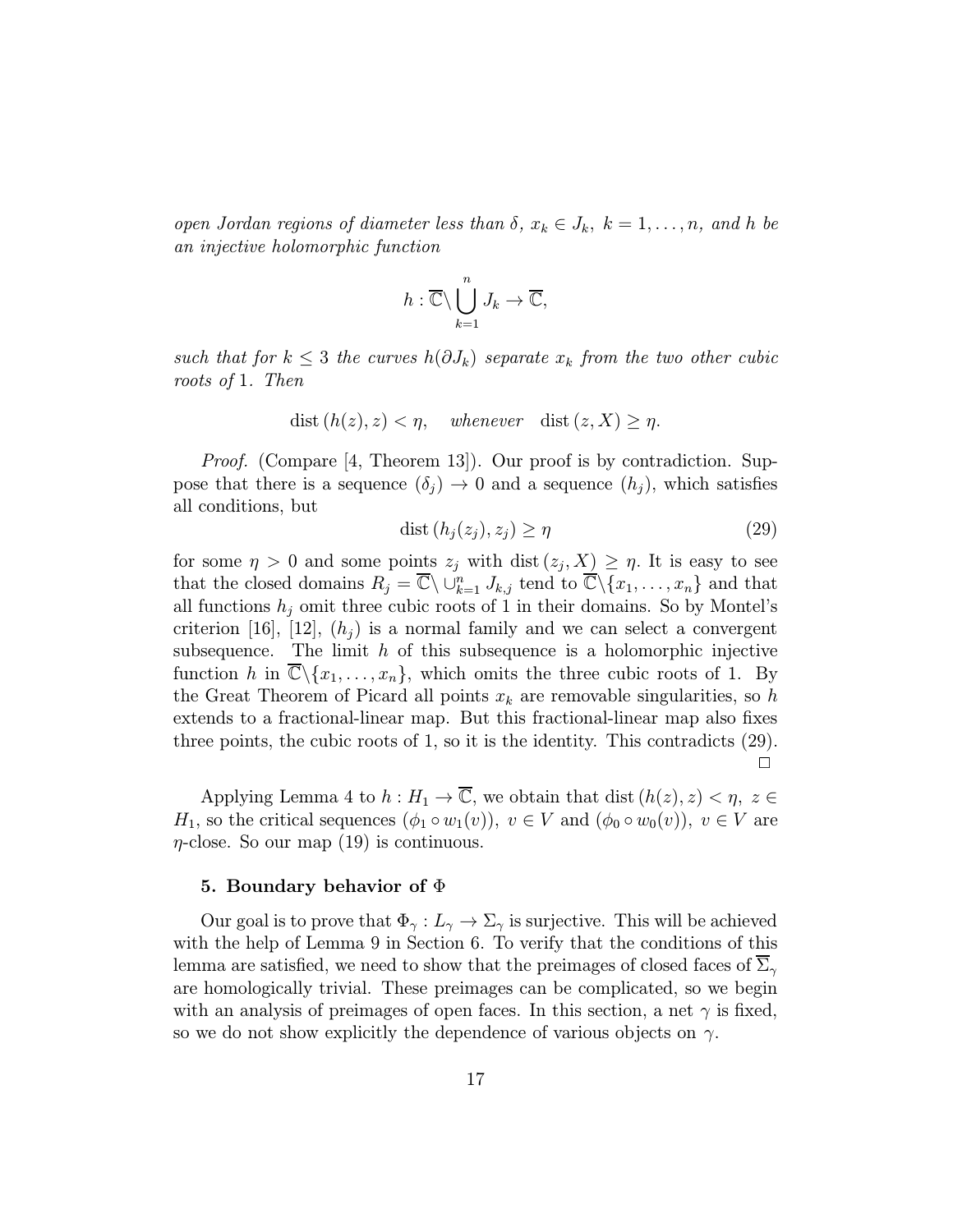open Jordan regions of diameter less than  $\delta, x_k \in J_k, k = 1, \ldots, n$ , and h be an injective holomorphic function

$$
h:\overline{\mathbb{C}}\setminus\bigcup_{k=1}^n J_k\to\overline{\mathbb{C}},
$$

such that for  $k \leq 3$  the curves  $h(\partial J_k)$  separate  $x_k$  from the two other cubic roots of 1. Then

$$
dist(h(z), z) < \eta, \quad \text{whenever} \quad dist(z, X) \ge \eta.
$$

*Proof.* (Compare [4, Theorem 13]). Our proof is by contradiction. Suppose that there is a sequence  $(\delta_i) \to 0$  and a sequence  $(h_i)$ , which satisfies all conditions, but

$$
dist(h_j(z_j), z_j) \ge \eta \tag{29}
$$

for some  $\eta > 0$  and some points  $z_j$  with dist  $(z_j, X) \geq \eta$ . It is easy to see that the closed domains  $R_j = \overline{\mathbb{C}} \setminus \cup_{k=1}^n J_{k,j}$  tend to  $\overline{\mathbb{C}} \setminus {\{x_1, \ldots, x_n\}}$  and that all functions  $h_i$  omit three cubic roots of 1 in their domains. So by Montel's criterion [16], [12],  $(h_i)$  is a normal family and we can select a convergent subsequence. The limit  $h$  of this subsequence is a holomorphic injective function h in  $\overline{\mathbb{C}}\backslash\{x_1,\ldots,x_n\}$ , which omits the three cubic roots of 1. By the Great Theorem of Picard all points  $x_k$  are removable singularities, so h extends to a fractional-linear map. But this fractional-linear map also fixes three points, the cubic roots of 1, so it is the identity. This contradicts (29).  $\Box$ 

Applying Lemma 4 to  $h : H_1 \to \overline{\mathbb{C}}$ , we obtain that dist  $(h(z), z) < \eta$ ,  $z \in$  $H_1$ , so the critical sequences  $(\phi_1 \circ w_1(v))$ ,  $v \in V$  and  $(\phi_0 \circ w_0(v))$ ,  $v \in V$  are  $\eta$ -close. So our map (19) is continuous.

#### 5. Boundary behavior of  $\Phi$

Our goal is to prove that  $\Phi_{\gamma}: L_{\gamma} \to \Sigma_{\gamma}$  is surjective. This will be achieved with the help of Lemma 9 in Section 6. To verify that the conditions of this lemma are satisfied, we need to show that the preimages of closed faces of  $\Sigma_{\gamma}$ are homologically trivial. These preimages can be complicated, so we begin with an analysis of preimages of open faces. In this section, a net  $\gamma$  is fixed, so we do not show explicitly the dependence of various objects on  $\gamma$ .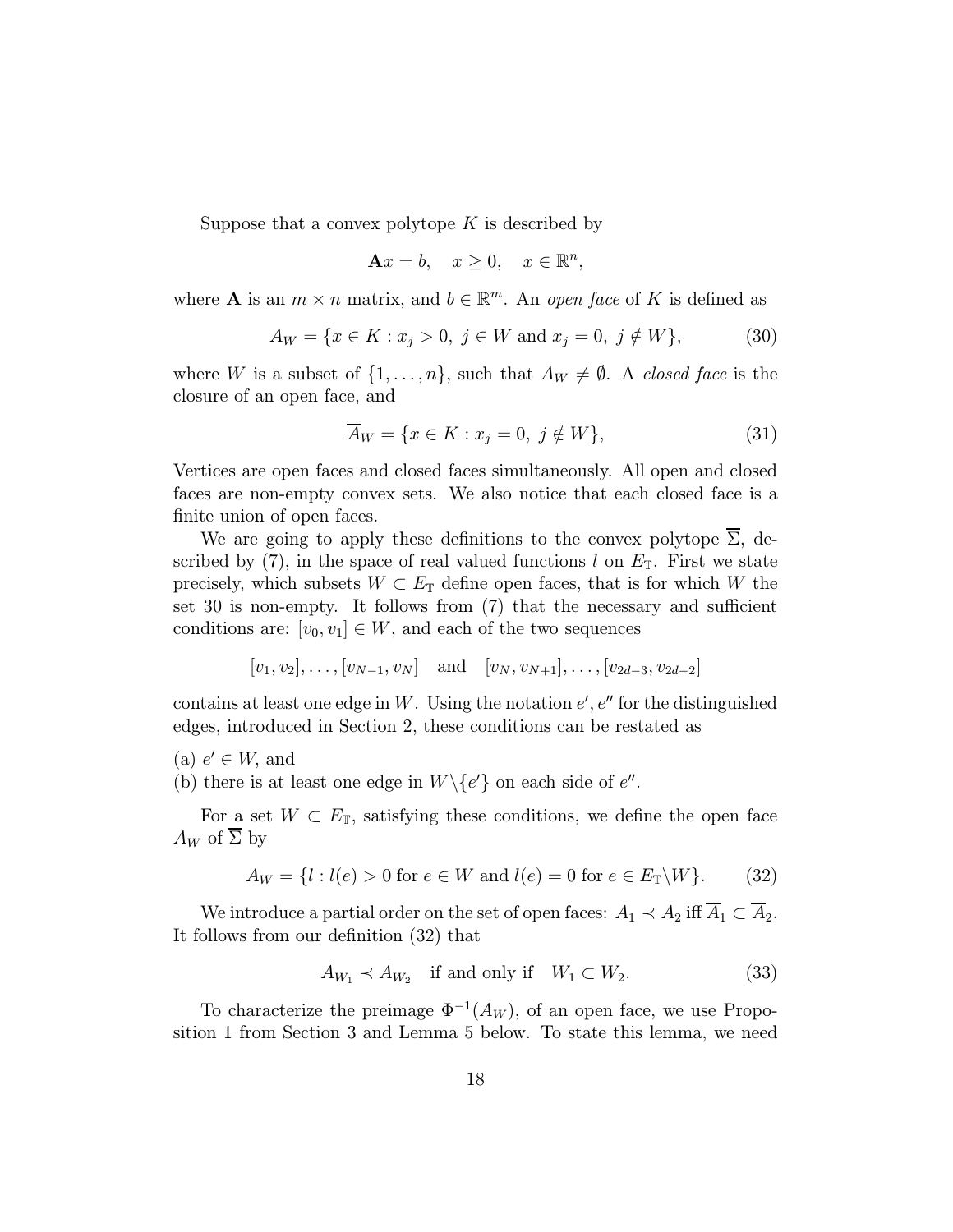Suppose that a convex polytope  $K$  is described by

$$
\mathbf{A}x = b, \quad x \ge 0, \quad x \in \mathbb{R}^n,
$$

where **A** is an  $m \times n$  matrix, and  $b \in \mathbb{R}^m$ . An open face of K is defined as

$$
A_W = \{ x \in K : x_j > 0, \ j \in W \text{ and } x_j = 0, \ j \notin W \},\tag{30}
$$

where W is a subset of  $\{1,\ldots,n\}$ , such that  $A_W \neq \emptyset$ . A *closed face* is the closure of an open face, and

$$
\overline{A}_W = \{ x \in K : x_j = 0, \ j \notin W \},\tag{31}
$$

Vertices are open faces and closed faces simultaneously. All open and closed faces are non-empty convex sets. We also notice that each closed face is a finite union of open faces.

We are going to apply these definitions to the convex polytope  $\overline{\Sigma}$ , described by (7), in the space of real valued functions l on  $E_{\mathbb{T}}$ . First we state precisely, which subsets  $W \subset E_{\mathbb{T}}$  define open faces, that is for which W the set 30 is non-empty. It follows from (7) that the necessary and sufficient conditions are:  $[v_0, v_1] \in W$ , and each of the two sequences

$$
[v_1, v_2], \ldots, [v_{N-1}, v_N]
$$
 and  $[v_N, v_{N+1}], \ldots, [v_{2d-3}, v_{2d-2}]$ 

contains at least one edge in W. Using the notation  $e', e''$  for the distinguished edges, introduced in Section 2, these conditions can be restated as

(a)  $e' \in W$ , and

(b) there is at least one edge in  $W \setminus \{e'\}$  on each side of  $e''$ .

For a set  $W \subset E_{\mathbb{T}}$ , satisfying these conditions, we define the open face  $A_W$  of  $\overline{\Sigma}$  by

$$
A_W = \{l : l(e) > 0 \text{ for } e \in W \text{ and } l(e) = 0 \text{ for } e \in E_{\mathbb{T}} \backslash W\}. \tag{32}
$$

We introduce a partial order on the set of open faces:  $A_1 \prec A_2$  iff  $\overline{A}_1 \subset \overline{A}_2$ . It follows from our definition (32) that

$$
A_{W_1} \prec A_{W_2} \quad \text{if and only if} \quad W_1 \subset W_2. \tag{33}
$$

To characterize the preimage  $\Phi^{-1}(A_W)$ , of an open face, we use Proposition 1 from Section 3 and Lemma 5 below. To state this lemma, we need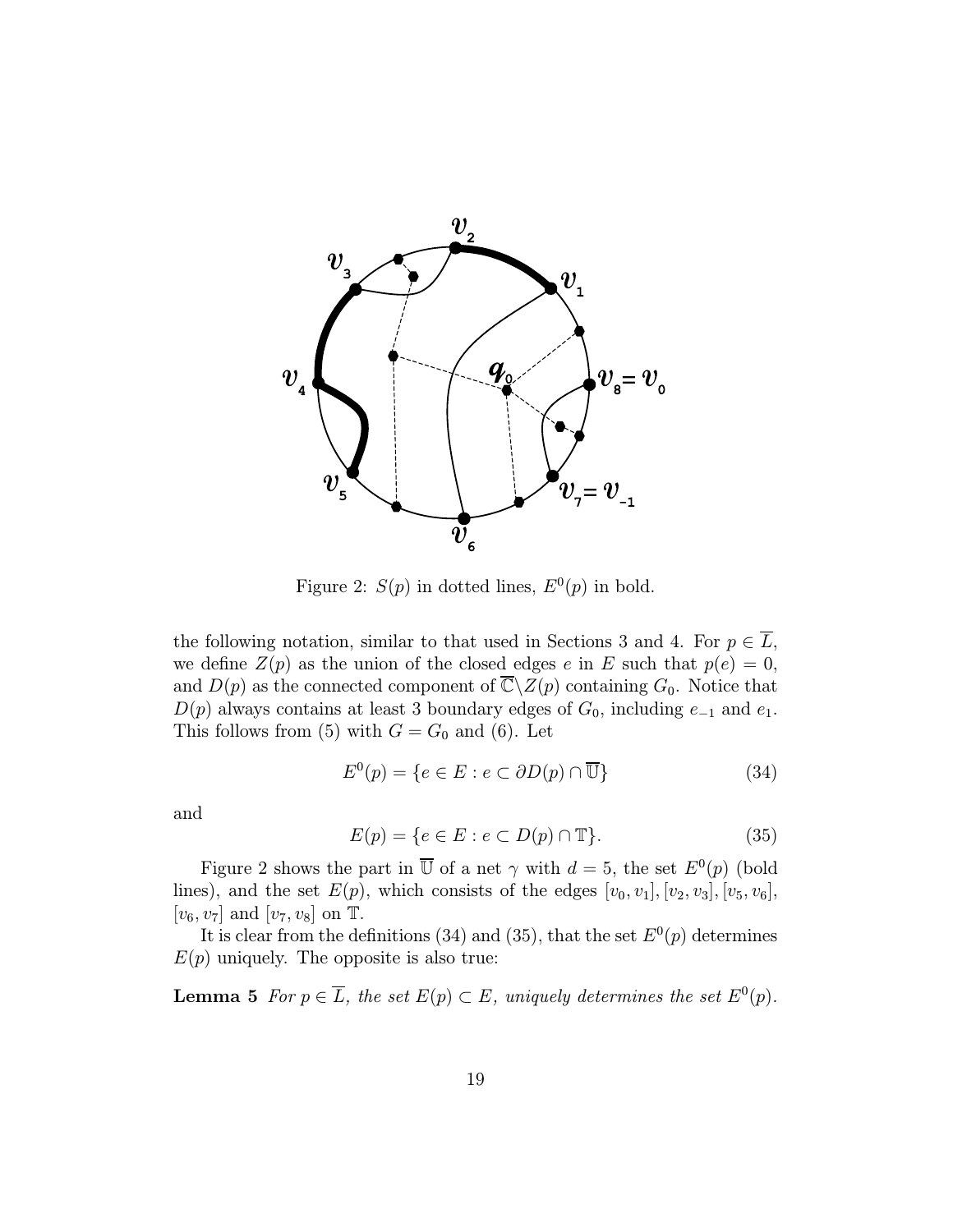

Figure 2:  $S(p)$  in dotted lines,  $E^0(p)$  in bold.

the following notation, similar to that used in Sections 3 and 4. For  $p \in \overline{L}$ , we define  $Z(p)$  as the union of the closed edges e in E such that  $p(e) = 0$ , and  $D(p)$  as the connected component of  $\overline{\mathbb{C}}\backslash Z(p)$  containing  $G_0$ . Notice that  $D(p)$  always contains at least 3 boundary edges of  $G_0$ , including  $e_{-1}$  and  $e_1$ . This follows from (5) with  $G = G_0$  and (6). Let

$$
E^{0}(p) = \{ e \in E : e \subset \partial D(p) \cap \overline{\mathbb{U}} \}
$$
\n(34)

and

$$
E(p) = \{e \in E : e \subset D(p) \cap \mathbb{T}\}. \tag{35}
$$

Figure 2 shows the part in  $\overline{U}$  of a net  $\gamma$  with  $d = 5$ , the set  $E^0(p)$  (bold lines), and the set  $E(p)$ , which consists of the edges  $[v_0, v_1], [v_2, v_3], [v_5, v_6]$ ,  $[v_6, v_7]$  and  $[v_7, v_8]$  on T.

It is clear from the definitions (34) and (35), that the set  $E^0(p)$  determines  $E(p)$  uniquely. The opposite is also true:

**Lemma 5** For  $p \in \overline{L}$ , the set  $E(p) \subset E$ , uniquely determines the set  $E^0(p)$ .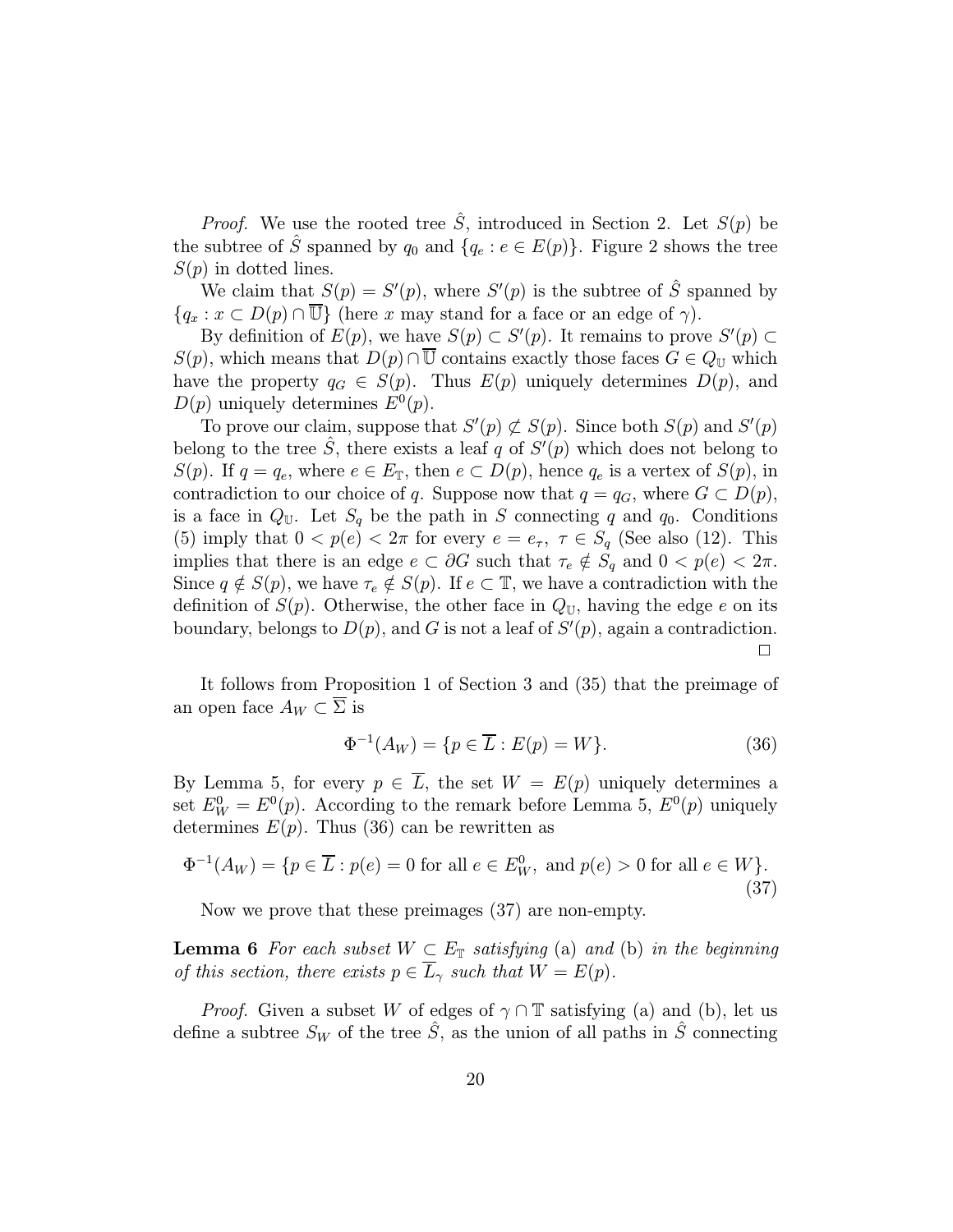*Proof.* We use the rooted tree  $\hat{S}$ , introduced in Section 2. Let  $S(p)$  be the subtree of  $\hat{S}$  spanned by  $q_0$  and  $\{q_e : e \in E(p)\}\$ . Figure 2 shows the tree  $S(p)$  in dotted lines.

We claim that  $S(p) = S'(p)$ , where  $S'(p)$  is the subtree of  $\hat{S}$  spanned by  ${q_x : x \subset D(p) \cap \overline{\mathbb{U}}\}$  (here x may stand for a face or an edge of  $\gamma$ ).

By definition of  $E(p)$ , we have  $S(p) \subset S'(p)$ . It remains to prove  $S'(p) \subset$  $S(p)$ , which means that  $D(p) \cap \overline{U}$  contains exactly those faces  $G \in Q_{\mathbb{U}}$  which have the property  $q_G \in S(p)$ . Thus  $E(p)$  uniquely determines  $D(p)$ , and  $D(p)$  uniquely determines  $E^0(p)$ .

To prove our claim, suppose that  $S'(p) \not\subset S(p)$ . Since both  $S(p)$  and  $S'(p)$ belong to the tree  $\hat{S}$ , there exists a leaf q of  $S'(p)$  which does not belong to  $S(p)$ . If  $q = q_e$ , where  $e \in E_{\mathbb{T}}$ , then  $e \subset D(p)$ , hence  $q_e$  is a vertex of  $S(p)$ , in contradiction to our choice of q. Suppose now that  $q = q_G$ , where  $G \subset D(p)$ , is a face in  $Q_{\mathbb{U}}$ . Let  $S_q$  be the path in S connecting q and  $q_0$ . Conditions (5) imply that  $0 < p(e) < 2\pi$  for every  $e = e_{\tau}$ ,  $\tau \in S_q$  (See also (12). This implies that there is an edge  $e \subset \partial G$  such that  $\tau_e \notin S_q$  and  $0 < p(e) < 2\pi$ . Since  $q \notin S(p)$ , we have  $\tau_e \notin S(p)$ . If  $e \subset \mathbb{T}$ , we have a contradiction with the definition of  $S(p)$ . Otherwise, the other face in  $Q_U$ , having the edge e on its boundary, belongs to  $D(p)$ , and G is not a leaf of  $S'(p)$ , again a contradiction.  $\Box$ 

It follows from Proposition 1 of Section 3 and (35) that the preimage of an open face  $A_W \subset \overline{\Sigma}$  is

$$
\Phi^{-1}(A_W) = \{ p \in \overline{L} : E(p) = W \}. \tag{36}
$$

By Lemma 5, for every  $p \in \overline{L}$ , the set  $W = E(p)$  uniquely determines a set  $E_W^0 = E^0(p)$ . According to the remark before Lemma 5,  $E^0(p)$  uniquely determines  $E(p)$ . Thus (36) can be rewritten as

$$
\Phi^{-1}(A_W) = \{ p \in \overline{L} : p(e) = 0 \text{ for all } e \in E_W^0, \text{ and } p(e) > 0 \text{ for all } e \in W \}. \tag{37}
$$

Now we prove that these preimages (37) are non-empty.

**Lemma 6** For each subset  $W \subset E_{\mathbb{T}}$  satisfying (a) and (b) in the beginning of this section, there exists  $p \in \overline{L}_{\gamma}$  such that  $W = E(p)$ .

*Proof.* Given a subset W of edges of  $\gamma \cap \mathbb{T}$  satisfying (a) and (b), let us define a subtree  $S_W$  of the tree  $\hat{S}$ , as the union of all paths in  $\hat{S}$  connecting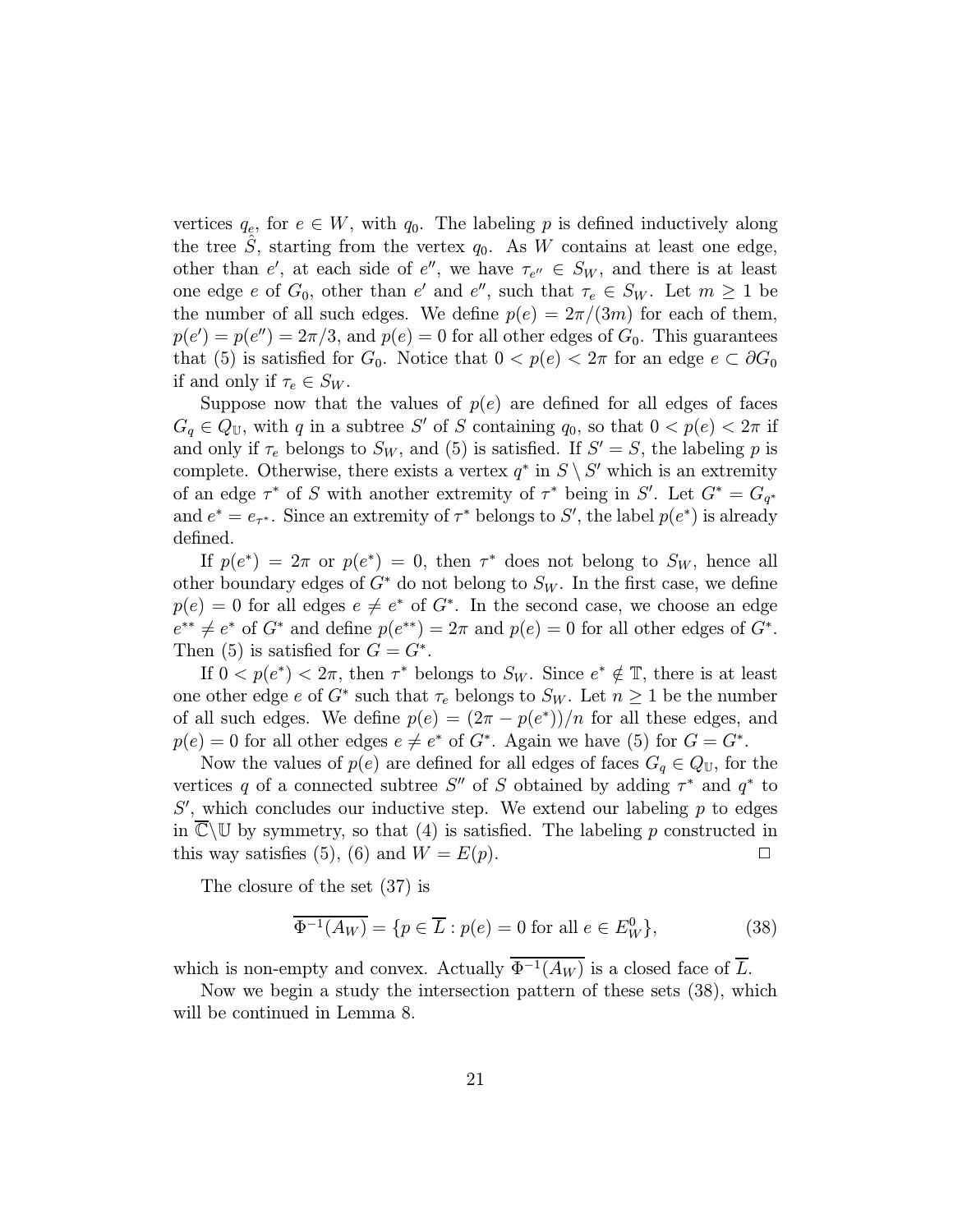vertices  $q_e$ , for  $e \in W$ , with  $q_0$ . The labeling p is defined inductively along the tree S, starting from the vertex  $q_0$ . As W contains at least one edge, other than e', at each side of e'', we have  $\tau_{e''} \in S_W$ , and there is at least one edge e of  $G_0$ , other than e' and e'', such that  $\tau_e \in S_W$ . Let  $m \geq 1$  be the number of all such edges. We define  $p(e)=2\pi/(3m)$  for each of them,  $p(e') = p(e'') = 2\pi/3$ , and  $p(e) = 0$  for all other edges of  $G_0$ . This guarantees that (5) is satisfied for  $G_0$ . Notice that  $0 < p(e) < 2\pi$  for an edge  $e \subset \partial G_0$ if and only if  $\tau_e \in S_W$ .

Suppose now that the values of  $p(e)$  are defined for all edges of faces  $G_q \in Q_{\mathbb{U}}$ , with q in a subtree S' of S containing  $q_0$ , so that  $0 < p(e) < 2\pi$  if and only if  $\tau_e$  belongs to  $S_W$ , and (5) is satisfied. If  $S' = S$ , the labeling p is complete. Otherwise, there exists a vertex  $q^*$  in  $S \setminus S'$  which is an extremity of an edge  $\tau^*$  of S with another extremity of  $\tau^*$  being in S'. Let  $G^* = G_{q^*}$ and  $e^* = e_{\tau^*}$ . Since an extremity of  $\tau^*$  belongs to S', the label  $p(e^*)$  is already defined.

If  $p(e^*)=2\pi$  or  $p(e^*)=0$ , then  $\tau^*$  does not belong to  $S_W$ , hence all other boundary edges of  $G^*$  do not belong to  $S_W$ . In the first case, we define  $p(e) = 0$  for all edges  $e \neq e^*$  of  $G^*$ . In the second case, we choose an edge  $e^{**} \neq e^*$  of  $G^*$  and define  $p(e^{**})=2\pi$  and  $p(e)=0$  for all other edges of  $G^*$ . Then (5) is satisfied for  $G = G^*$ .

If  $0 < p(e^*) < 2\pi$ , then  $\tau^*$  belongs to  $S_W$ . Since  $e^* \notin \mathbb{T}$ , there is at least one other edge e of  $G^*$  such that  $\tau_e$  belongs to  $S_W$ . Let  $n \geq 1$  be the number of all such edges. We define  $p(e) = (2\pi - p(e^*))/n$  for all these edges, and  $p(e) = 0$  for all other edges  $e \neq e^*$  of  $G^*$ . Again we have (5) for  $G = G^*$ .

Now the values of  $p(e)$  are defined for all edges of faces  $G_q \in Q_{\mathbb{U}}$ , for the vertices q of a connected subtree S'' of S obtained by adding  $\tau^*$  and  $q^*$  to  $S'$ , which concludes our inductive step. We extend our labeling  $p$  to edges in  $\overline{\mathbb{C}}\backslash\mathbb{U}$  by symmetry, so that (4) is satisfied. The labeling p constructed in this way satisfies (5), (6) and  $W = E(p)$ .

The closure of the set (37) is

$$
\overline{\Phi^{-1}(A_W)} = \{ p \in \overline{L} : p(e) = 0 \text{ for all } e \in E_W^0 \},\tag{38}
$$

which is non-empty and convex. Actually  $\overline{\Phi^{-1}(A_W)}$  is a closed face of  $\overline{L}$ .

Now we begin a study the intersection pattern of these sets (38), which will be continued in Lemma 8.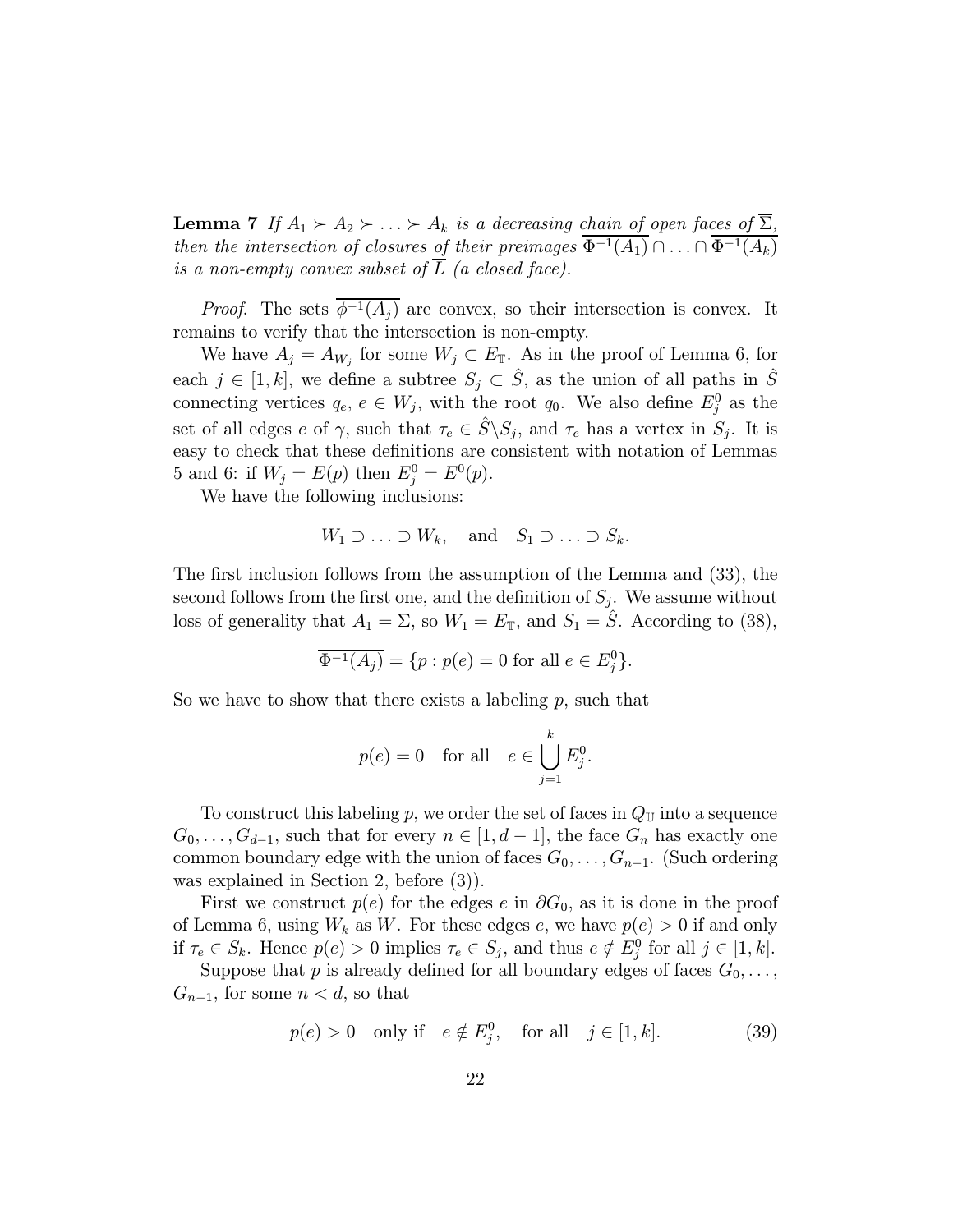**Lemma 7** If  $A_1 \succ A_2 \succ ... \succ A_k$  is a decreasing chain of open faces of  $\Sigma$ , then the intersection of closures of their preimages  $\Phi^{-1}(A_1) \cap \ldots \cap \Phi^{-1}(A_k)$ is a non-empty convex subset of  $\overline{L}$  (a closed face).

*Proof.* The sets  $\overline{\phi^{-1}(A_i)}$  are convex, so their intersection is convex. It remains to verify that the intersection is non-empty.

We have  $A_j = A_{W_j}$  for some  $W_j \subset E_{\mathbb{T}}$ . As in the proof of Lemma 6, for each  $j \in [1, k]$ , we define a subtree  $S_j \subset \hat{S}$ , as the union of all paths in  $\hat{S}$ connecting vertices  $q_e, e \in W_j$ , with the root  $q_0$ . We also define  $E_j^0$  as the set of all edges e of  $\gamma$ , such that  $\tau_e \in \hat{S} \backslash S_i$ , and  $\tau_e$  has a vertex in  $S_i$ . It is easy to check that these definitions are consistent with notation of Lemmas 5 and 6: if  $W_j = E(p)$  then  $E_j^0 = E^0(p)$ .

We have the following inclusions:

$$
W_1 \supset \ldots \supset W_k
$$
, and  $S_1 \supset \ldots \supset S_k$ .

The first inclusion follows from the assumption of the Lemma and (33), the second follows from the first one, and the definition of  $S_i$ . We assume without loss of generality that  $A_1 = \Sigma$ , so  $W_1 = E_{\mathbb{T}}$ , and  $S_1 = \hat{S}$ . According to (38),

$$
\overline{\Phi^{-1}(A_j)} = \{ p : p(e) = 0 \text{ for all } e \in E_j^0 \}.
$$

So we have to show that there exists a labeling  $p$ , such that

$$
p(e) = 0
$$
 for all  $e \in \bigcup_{j=1}^{k} E_j^0$ .

To construct this labeling p, we order the set of faces in  $Q_U$  into a sequence  $G_0, \ldots, G_{d-1}$ , such that for every  $n \in [1, d-1]$ , the face  $G_n$  has exactly one common boundary edge with the union of faces  $G_0, \ldots, G_{n-1}$ . (Such ordering was explained in Section 2, before (3)).

First we construct  $p(e)$  for the edges e in  $\partial G_0$ , as it is done in the proof of Lemma 6, using  $W_k$  as W. For these edges e, we have  $p(e) > 0$  if and only if  $\tau_e \in S_k$ . Hence  $p(e) > 0$  implies  $\tau_e \in S_j$ , and thus  $e \notin E_j^0$  for all  $j \in [1, k]$ .

Suppose that p is already defined for all boundary edges of faces  $G_0, \ldots$ ,  $G_{n-1}$ , for some  $n < d$ , so that

$$
p(e) > 0 \quad \text{only if} \quad e \notin E_j^0, \quad \text{for all} \quad j \in [1, k]. \tag{39}
$$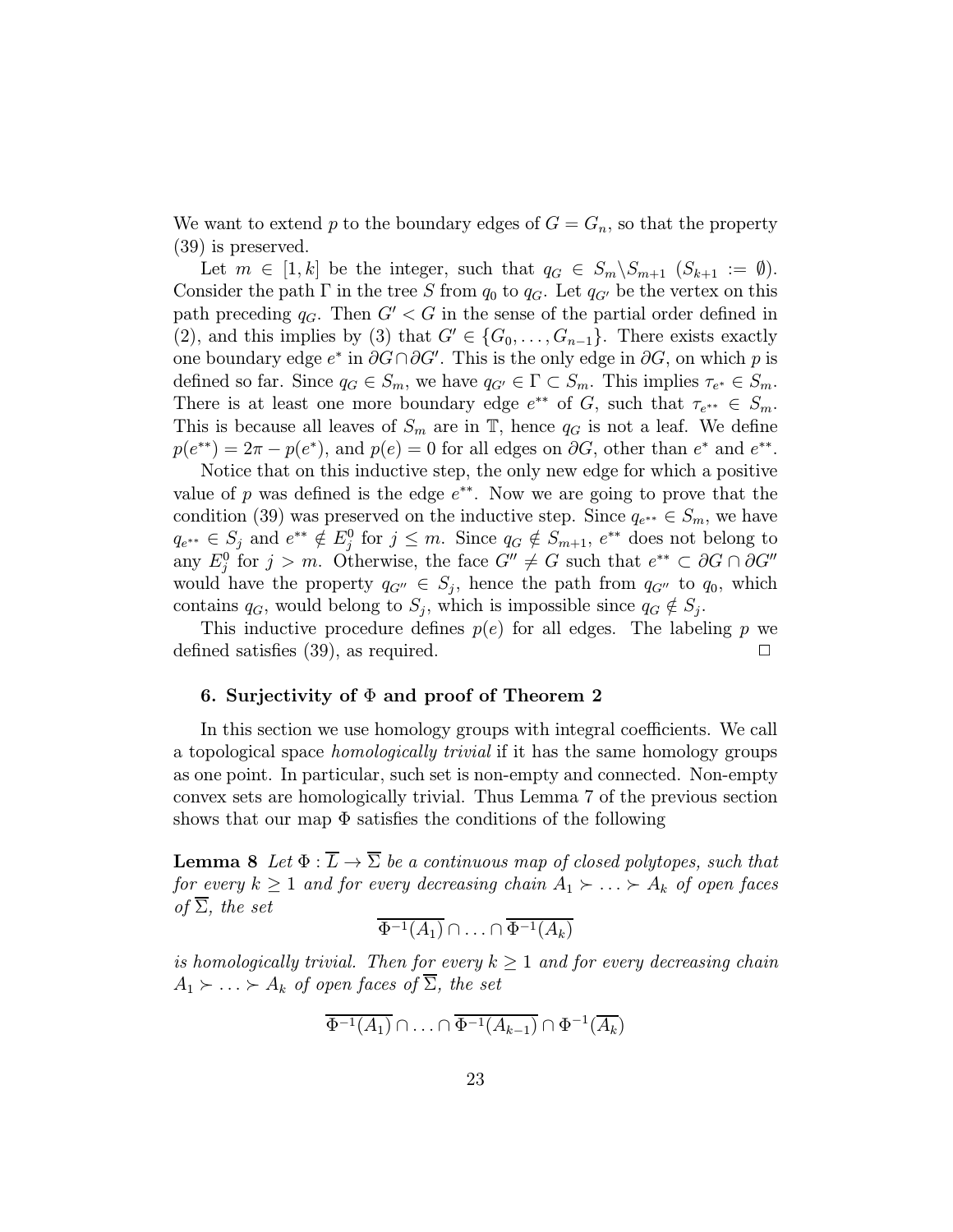We want to extend p to the boundary edges of  $G = G_n$ , so that the property (39) is preserved.

Let  $m \in [1, k]$  be the integer, such that  $q_G \in S_m \backslash S_{m+1}$   $(S_{k+1} := \emptyset)$ . Consider the path  $\Gamma$  in the tree S from  $q_0$  to  $q_G$ . Let  $q_{G'}$  be the vertex on this path preceding  $q_G$ . Then  $G' < G$  in the sense of the partial order defined in (2), and this implies by (3) that  $G' \in \{G_0, \ldots, G_{n-1}\}.$  There exists exactly one boundary edge  $e^*$  in  $\partial G \cap \partial G'$ . This is the only edge in  $\partial G$ , on which p is defined so far. Since  $q_G \in S_m$ , we have  $q_{G'} \in \Gamma \subset S_m$ . This implies  $\tau_{e^*} \in S_m$ . There is at least one more boundary edge  $e^{**}$  of G, such that  $\tau_{e^{**}} \in S_m$ . This is because all leaves of  $S_m$  are in  $\mathbb{T}$ , hence  $q_G$  is not a leaf. We define  $p(e^{**})=2\pi - p(e^*)$ , and  $p(e) = 0$  for all edges on  $\partial G$ , other than  $e^*$  and  $e^{**}$ .

Notice that on this inductive step, the only new edge for which a positive value of p was defined is the edge  $e^{**}$ . Now we are going to prove that the condition (39) was preserved on the inductive step. Since  $q_{e^{**}} \in S_m$ , we have  $q_{e^{**}} \in S_j$  and  $e^{**} \notin E_j^0$  for  $j \leq m$ . Since  $q_G \notin S_{m+1}, e^{**}$  does not belong to any  $E_j^0$  for  $j>m$ . Otherwise, the face  $G'' \neq G$  such that  $e^{**} \subset \partial G \cap \partial G''$ would have the property  $q_{G''} \in S_j$ , hence the path from  $q_{G''}$  to  $q_0$ , which contains  $q_G$ , would belong to  $S_i$ , which is impossible since  $q_G \notin S_i$ .

This inductive procedure defines  $p(e)$  for all edges. The labeling p we defined satisfies (39), as required.  $\Box$ 

## 6. Surjectivity of  $\Phi$  and proof of Theorem 2

In this section we use homology groups with integral coefficients. We call a topological space homologically trivial if it has the same homology groups as one point. In particular, such set is non-empty and connected. Non-empty convex sets are homologically trivial. Thus Lemma 7 of the previous section shows that our map  $\Phi$  satisfies the conditions of the following

**Lemma 8** Let  $\Phi : \overline{L} \to \overline{\Sigma}$  be a continuous map of closed polytopes, such that for every  $k \geq 1$  and for every decreasing chain  $A_1 \succ \ldots \succ A_k$  of open faces of  $\overline{\Sigma}$ , the set

$$
\overline{\Phi^{-1}(A_1)} \cap \ldots \cap \overline{\Phi^{-1}(A_k)}
$$

is homologically trivial. Then for every  $k \geq 1$  and for every decreasing chain  $A_1 \succ \ldots \succ A_k$  of open faces of  $\overline{\Sigma}$ , the set

$$
\overline{\Phi^{-1}(A_1)} \cap \ldots \cap \overline{\Phi^{-1}(A_{k-1})} \cap \Phi^{-1}(\overline{A_k})
$$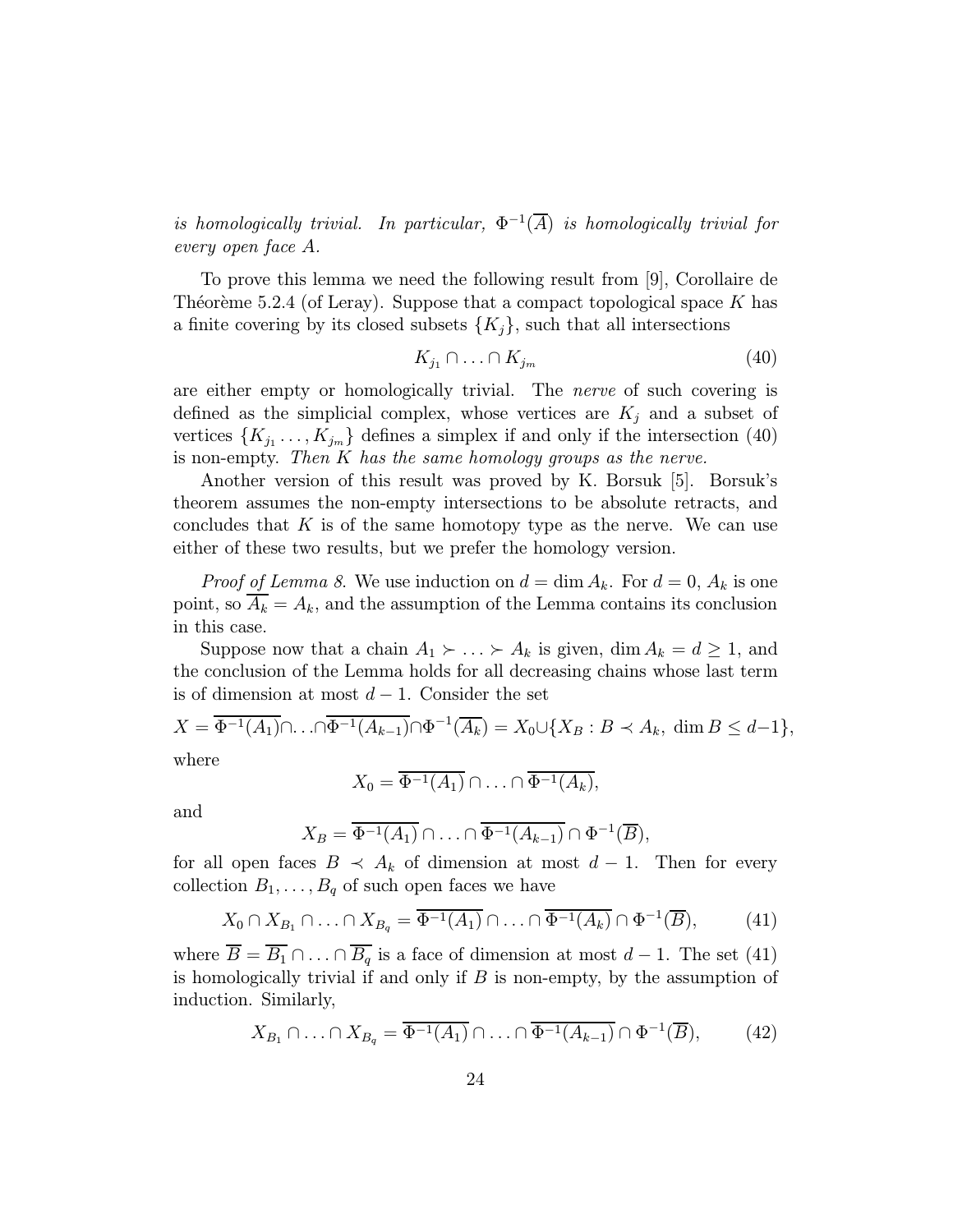is homologically trivial. In particular,  $\Phi^{-1}(\overline{A})$  is homologically trivial for every open face A.

To prove this lemma we need the following result from [9], Corollaire de Theoreme 5.2.4 (of Leray). Suppose that a compact topological space K has a finite covering by its closed subsets  $\{K_i\}$ , such that all intersections

$$
K_{j_1} \cap \ldots \cap K_{j_m} \tag{40}
$$

are either empty or homologically trivial. The nerve of such covering is defined as the simplicial complex, whose vertices are  $K_i$  and a subset of vertices  $\{K_{j_1},\ldots,K_{j_m}\}\$  defines a simplex if and only if the intersection (40) is non-empty. Then K has the same homology groups as the nerve.

Another version of this result was proved by K. Borsuk [5]. Borsuk's theorem assumes the non-empty intersections to be absolute retracts, and concludes that  $K$  is of the same homotopy type as the nerve. We can use either of these two results, but we prefer the homology version.

*Proof of Lemma 8.* We use induction on  $d = \dim A_k$ . For  $d = 0$ ,  $A_k$  is one point, so  $A_k = A_k$ , and the assumption of the Lemma contains its conclusion in this case.

Suppose now that a chain  $A_1 \succ \ldots \succ A_k$  is given, dim  $A_k = d \geq 1$ , and the conclusion of the Lemma holds for all decreasing chains whose last term is of dimension at most  $d-1$ . Consider the set

$$
X = \overline{\Phi^{-1}(A_1)} \cap \ldots \cap \overline{\Phi^{-1}(A_{k-1})} \cap \Phi^{-1}(\overline{A_k}) = X_0 \cup \{X_B : B \prec A_k, \dim B \le d-1\},\
$$
where

where

$$
X_0 = \overline{\Phi^{-1}(A_1)} \cap \ldots \cap \overline{\Phi^{-1}(A_k)},
$$

and

$$
X_B = \overline{\Phi^{-1}(A_1)} \cap \ldots \cap \overline{\Phi^{-1}(A_{k-1})} \cap \Phi^{-1}(\overline{B}),
$$

for all open faces  $B \prec A_k$  of dimension at most  $d-1$ . Then for every collection  $B_1, \ldots, B_q$  of such open faces we have

$$
X_0 \cap X_{B_1} \cap \ldots \cap X_{B_q} = \overline{\Phi^{-1}(A_1)} \cap \ldots \cap \overline{\Phi^{-1}(A_k)} \cap \Phi^{-1}(\overline{B}), \tag{41}
$$

where  $\overline{B} = \overline{B_1} \cap \ldots \cap \overline{B_q}$  is a face of dimension at most  $d-1$ . The set (41) is homologically trivial if and only if  $B$  is non-empty, by the assumption of induction. Similarly,

$$
X_{B_1} \cap \ldots \cap X_{B_q} = \overline{\Phi^{-1}(A_1)} \cap \ldots \cap \overline{\Phi^{-1}(A_{k-1})} \cap \Phi^{-1}(\overline{B}), \qquad (42)
$$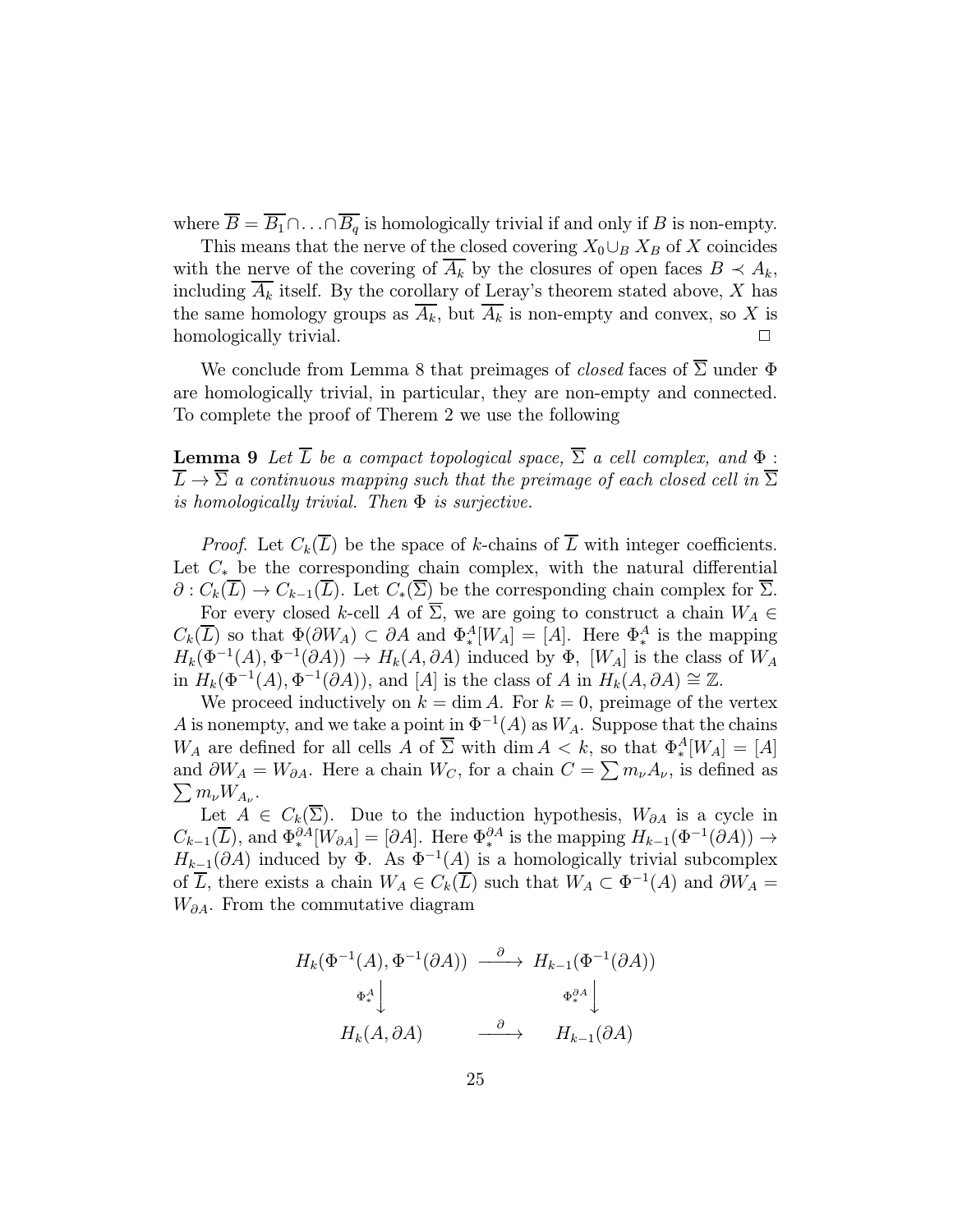where  $\overline{B} = \overline{B_1} \cap \ldots \cap \overline{B_q}$  is homologically trivial if and only if B is non-empty.

This means that the nerve of the closed covering  $X_0 \cup_B X_B$  of X coincides with the nerve of the covering of  $A_k$  by the closures of open faces  $B \prec A_k$ , including  $\overline{A_k}$  itself. By the corollary of Leray's theorem stated above, X has the same homology groups as  $\overline{A_k}$ , but  $\overline{A_k}$  is non-empty and convex, so X is homologically trivial.

We conclude from Lemma 8 that preimages of *closed* faces of  $\overline{\Sigma}$  under  $\Phi$ are homologically trivial, in particular, they are non-empty and connected. To complete the proof of Therem 2 we use the following

**Lemma 9** Let  $\overline{L}$  be a compact topological space,  $\overline{\Sigma}$  a cell complex, and  $\Phi$ :  $\overline{L} \rightarrow \overline{\Sigma}$  a continuous mapping such that the preimage of each closed cell in  $\overline{\Sigma}$ is homologically trivial. Then  $\Phi$  is surjective.

*Proof.* Let  $C_k(\overline{L})$  be the space of k-chains of  $\overline{L}$  with integer coefficients. Let  $C_*$  be the corresponding chain complex, with the natural differential  $\partial: C_k(\overline{L}) \to C_{k-1}(\overline{L})$ . Let  $C_*(\overline{\Sigma})$  be the corresponding chain complex for  $\overline{\Sigma}$ .

For every closed k-cell A of  $\overline{\Sigma}$ , we are going to construct a chain  $W_A \in$  $C_k(\overline{L})$  so that  $\Phi(\partial W_A) \subset \partial A$  and  $\Phi^A_*[W_A] = [A]$ . Here  $\Phi^A_*$  is the mapping  $H_k(\Phi^{-1}(A), \Phi^{-1}(\partial A)) \to H_k(A, \partial A)$  induced by  $\Phi$ , [W<sub>A</sub>] is the class of W<sub>A</sub> in  $H_k(\Phi^{-1}(A), \Phi^{-1}(\partial A))$ , and [A] is the class of A in  $H_k(A, \partial A) \cong \mathbb{Z}$ .

We proceed inductively on  $k = \dim A$ . For  $k = 0$ , preimage of the vertex A is nonempty, and we take a point in  $\Phi^{-1}(A)$  as  $W_A$ . Suppose that the chains  $W_A$  are defined for all cells A of  $\overline{\Sigma}$  with dim  $A < k$ , so that  $\Phi_*^A[W_A] = [A]$ and  $\partial W_A = W_{\partial A}$ . Here a chain  $W_C$ , for a chain  $C = \sum m_{\nu} A_{\nu}$ , is defined as  $\sum m_{\nu} W_{A_{\nu}}$ .

Let  $A \in C_k(\overline{\Sigma})$ . Due to the induction hypothesis,  $W_{\partial A}$  is a cycle in  $C_{k-1}(\overline{L})$ , and  $\Phi^{0A}_{*}[W_{0A}] = [\partial A]$ . Here  $\Phi^{0A}_{*}$  is the mapping  $H_{k-1}(\Phi^{-1}(\partial A)) \to$  $H_{k-1}(\partial A)$  induced by  $\Phi$ . As  $\Phi^{-1}(A)$  is a homologically trivial subcomplex of  $\overline{L}$ , there exists a chain  $W_A \in C_k(\overline{L})$  such that  $W_A \subset \Phi^{-1}(A)$  and  $\partial W_A =$  $W_{\partial A}$ . From the commutative diagram

$$
H_k(\Phi^{-1}(A), \Phi^{-1}(\partial A)) \xrightarrow{\partial} H_{k-1}(\Phi^{-1}(\partial A))
$$
  

$$
\Phi_*^A \downarrow \qquad \qquad \Phi_*^{\partial A} \downarrow
$$
  

$$
H_k(A, \partial A) \xrightarrow{\partial} H_{k-1}(\partial A)
$$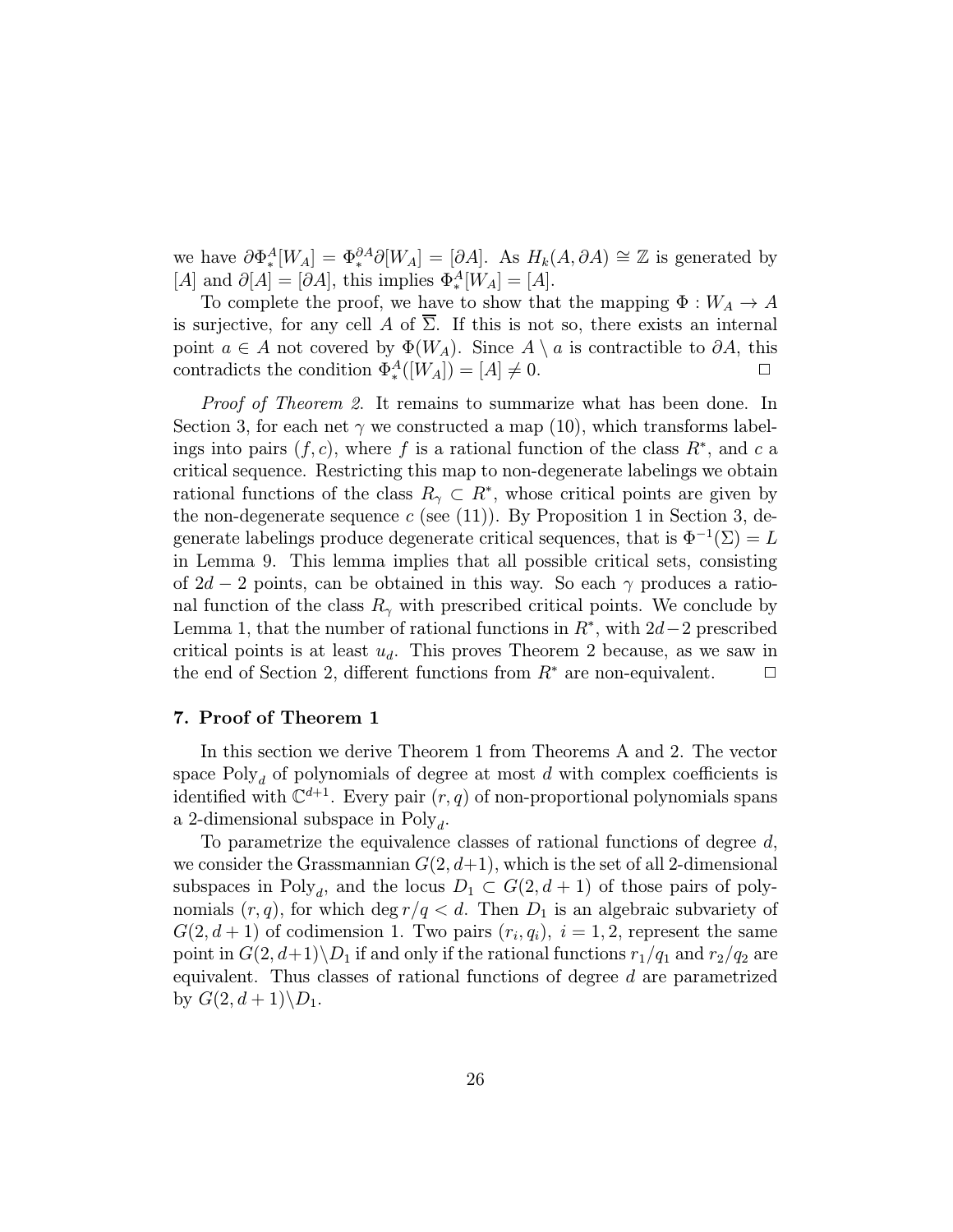we have  $\partial \Phi^A_*(W_A) = \Phi^{\partial A} \partial [W_A] = [\partial A]$ . As  $H_k(A, \partial A) \cong \mathbb{Z}$  is generated by [A] and  $\partial[A] = [\partial A]$ , this implies  $\Phi_*^A[W_A] = [A]$ .

To complete the proof, we have to show that the mapping  $\Phi: W_A \to A$ is surjective, for any cell A of  $\Sigma$ . If this is not so, there exists an internal point  $a \in A$  not covered by  $\Phi(W_A)$ . Since  $A \setminus a$  is contractible to  $\partial A$ , this contradicts the condition  $\Phi_*^A([W_A]) = [A] \neq 0.$ 

Proof of Theorem 2. It remains to summarize what has been done. In Section 3, for each net  $\gamma$  we constructed a map (10), which transforms labelings into pairs  $(f, c)$ , where f is a rational function of the class  $R^*$ , and c a critical sequence. Restricting this map to non-degenerate labelings we obtain rational functions of the class  $R_{\gamma} \subset R^*$ , whose critical points are given by the non-degenerate sequence  $c$  (see (11)). By Proposition 1 in Section 3, degenerate labelings produce degenerate critical sequences, that is  $\Phi^{-1}(\Sigma) = L$ in Lemma 9. This lemma implies that all possible critical sets, consisting of  $2d-2$  points, can be obtained in this way. So each  $\gamma$  produces a rational function of the class  $R_{\gamma}$  with prescribed critical points. We conclude by Lemma 1, that the number of rational functions in  $R^*$ , with 2d−2 prescribed critical points is at least  $u_d$ . This proves Theorem 2 because, as we saw in the end of Section 2, different functions from  $R^*$  are non-equivalent.  $\Box$ 

# 7. Proof of Theorem 1

In this section we derive Theorem 1 from Theorems A and 2. The vector space  $Poly_d$  of polynomials of degree at most d with complex coefficients is identified with  $\mathbb{C}^{d+1}$ . Every pair  $(r, q)$  of non-proportional polynomials spans a 2-dimensional subspace in  $Poly<sub>d</sub>$ .

To parametrize the equivalence classes of rational functions of degree d, we consider the Grassmannian  $G(2, d+1)$ , which is the set of all 2-dimensional subspaces in Poly<sub>d</sub>, and the locus  $D_1 \subset G(2, d+1)$  of those pairs of polynomials  $(r, q)$ , for which deg  $r/q < d$ . Then  $D_1$  is an algebraic subvariety of  $G(2, d+1)$  of codimension 1. Two pairs  $(r_i, q_i)$ ,  $i = 1, 2$ , represent the same point in  $G(2, d+1) \backslash D_1$  if and only if the rational functions  $r_1/q_1$  and  $r_2/q_2$  are equivalent. Thus classes of rational functions of degree d are parametrized by  $G(2, d+1)\backslash D_1$ .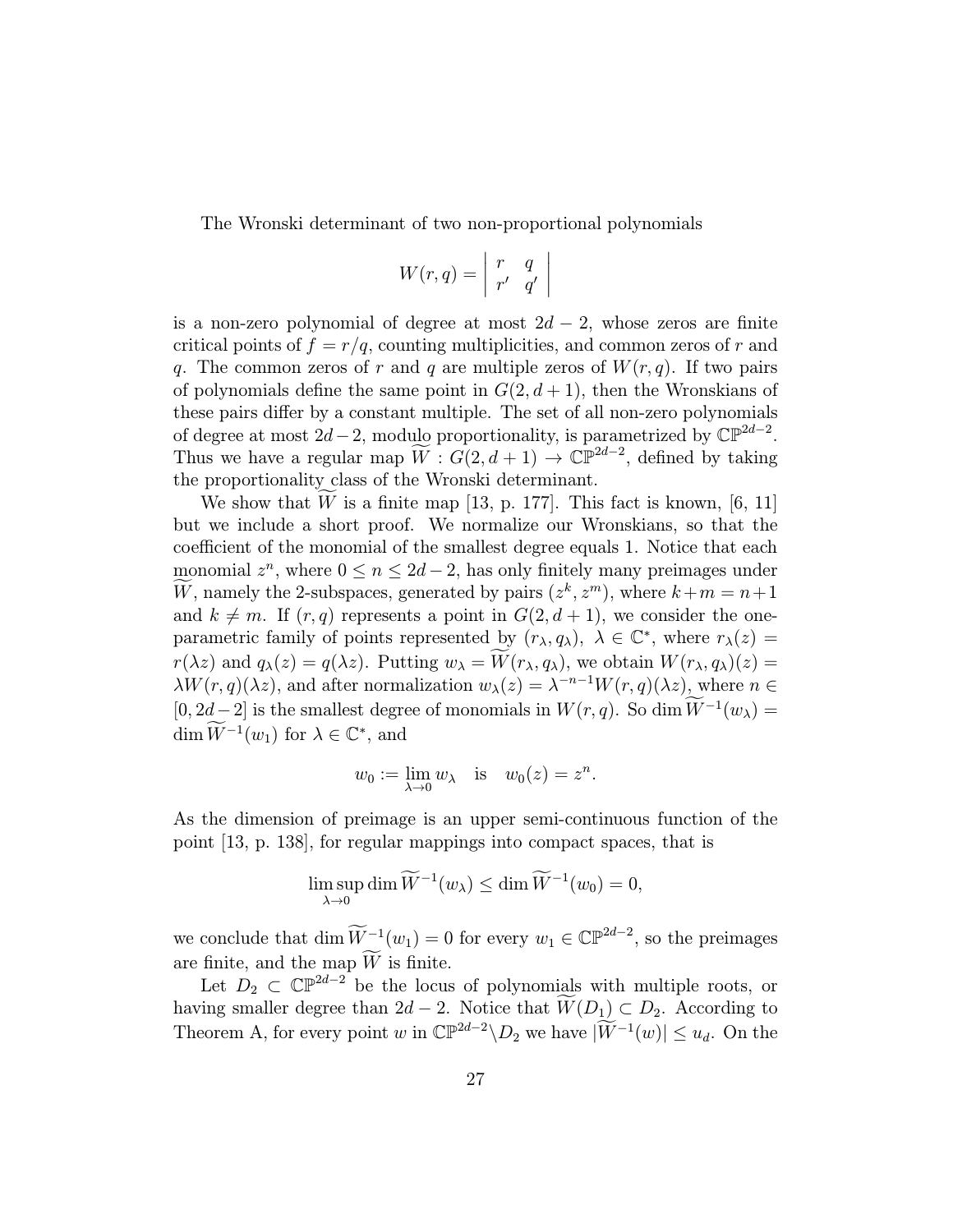The Wronski determinant of two non-proportional polynomials

$$
W(r,q) = \begin{vmatrix} r & q \\ r' & q' \end{vmatrix}
$$

is a non-zero polynomial of degree at most  $2d - 2$ , whose zeros are finite critical points of  $f = r/q$ , counting multiplicities, and common zeros of r and q. The common zeros of r and q are multiple zeros of  $W(r, q)$ . If two pairs of polynomials define the same point in  $G(2, d+1)$ , then the Wronskians of these pairs differ by a constant multiple. The set of all non-zero polynomials of degree at most  $2d-2$ , modulo proportionality, is parametrized by  $\mathbb{CP}^{2d-2}$ . Thus we have a regular map  $\widetilde{W}$ :  $G(2, d+1) \to \mathbb{CP}^{2d-2}$ , defined by taking the proportionality class of the Wronski determinant.

We show that  $W$  is a finite map [13, p. 177]. This fact is known, [6, 11] but we include a short proof. We normalize our Wronskians, so that the coefficient of the monomial of the smallest degree equals 1. Notice that each monomial  $z^n$ , where  $0 \leq n \leq 2d-2$ , has only finitely many preimages under W, namely the 2-subspaces, generated by pairs  $(z^k, z^m)$ , where  $k+m=n+1$ and  $k \neq m$ . If  $(r, q)$  represents a point in  $G(2, d + 1)$ , we consider the oneparametric family of points represented by  $(r_{\lambda}, q_{\lambda})$ ,  $\lambda \in \mathbb{C}^*$ , where  $r_{\lambda}(z)$  $r(\lambda z)$  and  $q_{\lambda}(z) = q(\lambda z)$ . Putting  $w_{\lambda} = W(r_{\lambda}, q_{\lambda})$ , we obtain  $W(r_{\lambda}, q_{\lambda})(z) =$  $\lambda W(r, q)(\lambda z)$ , and after normalization  $w_{\lambda}(z) = \lambda^{-n-1}W(r, q)(\lambda z)$ , where  $n \in \mathbb{Z}$  $[0, 2d-2]$  is the smallest degree of monomials in  $W(r, q)$ . So dim  $W^{-1}(w_\lambda) =$ dim  $W^{-1}(w_1)$  for  $\lambda \in \mathbb{C}^*$ , and

$$
w_0 := \lim_{\lambda \to 0} w_\lambda
$$
 is  $w_0(z) = z^n$ .

As the dimension of preimage is an upper semi-continuous function of the point [13, p. 138], for regular mappings into compact spaces, that is

$$
\limsup_{\lambda \to 0} \dim \widetilde{W}^{-1}(w_{\lambda}) \le \dim \widetilde{W}^{-1}(w_0) = 0,
$$

we conclude that  $\dim \widetilde{W}^{-1}(w_1) = 0$  for every  $w_1 \in \mathbb{CP}^{2d-2}$ , so the preimages are finite, and the map  $W$  is finite.

Let  $D_2 \subset \mathbb{CP}^{2d-2}$  be the locus of polynomials with multiple roots, or having smaller degree than  $2d - 2$ . Notice that  $W(D_1) \subset D_2$ . According to Theorem A, for every point w in  $\mathbb{CP}^{2d-2} \backslash D_2$  we have  $|\widetilde{W}^{-1}(w)| \leq u_d$ . On the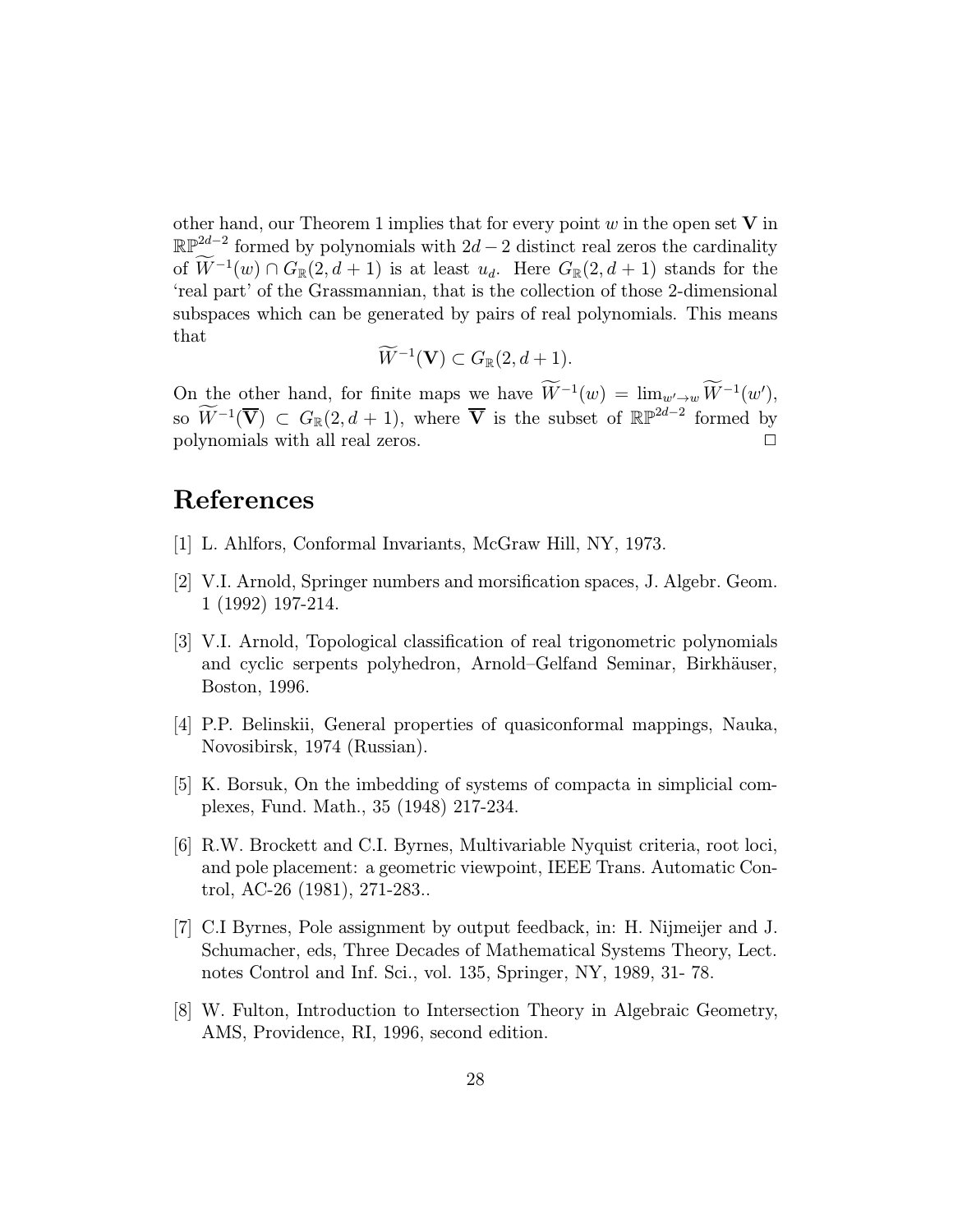other hand, our Theorem 1 implies that for every point  $w$  in the open set  $V$  in  $\mathbb{RP}^{2d-2}$  formed by polynomials with  $2d-2$  distinct real zeros the cardinality of  $W^{-1}(w) \cap G_{\mathbb{R}}(2, d+1)$  is at least  $u_d$ . Here  $G_{\mathbb{R}}(2, d+1)$  stands for the 'real part' of the Grassmannian, that is the collection of those 2-dimensional subspaces which can be generated by pairs of real polynomials. This means that

$$
\widetilde W^{-1}(\mathbf{V})\subset G_\mathbb{R}(2,d+1).
$$

On the other hand, for finite maps we have  $W^{-1}(w) = \lim_{w' \to w} W^{-1}(w'),$ so  $\widetilde{W}^{-1}(\overline{\mathbf{V}}) \subset G_{\mathbb{R}}(2, d+1)$ , where  $\overline{\mathbf{V}}$  is the subset of  $\mathbb{RP}^{2d-2}$  formed by polynomials with all real zeros. <sup>2</sup>

# References

- [1] L. Ahlfors, Conformal Invariants, McGraw Hill, NY, 1973.
- [2] V.I. Arnold, Springer numbers and morsification spaces, J. Algebr. Geom. 1 (1992) 197-214.
- [3] V.I. Arnold, Topological classification of real trigonometric polynomials and cyclic serpents polyhedron, Arnold–Gelfand Seminar, Birkhäuser, Boston, 1996.
- [4] P.P. Belinskii, General properties of quasiconformal mappings, Nauka, Novosibirsk, 1974 (Russian).
- [5] K. Borsuk, On the imbedding of systems of compacta in simplicial complexes, Fund. Math., 35 (1948) 217-234.
- [6] R.W. Brockett and C.I. Byrnes, Multivariable Nyquist criteria, root loci, and pole placement: a geometric viewpoint, IEEE Trans. Automatic Control, AC-26 (1981), 271-283..
- [7] C.I Byrnes, Pole assignment by output feedback, in: H. Nijmeijer and J. Schumacher, eds, Three Decades of Mathematical Systems Theory, Lect. notes Control and Inf. Sci., vol. 135, Springer, NY, 1989, 31- 78.
- [8] W. Fulton, Introduction to Intersection Theory in Algebraic Geometry, AMS, Providence, RI, 1996, second edition.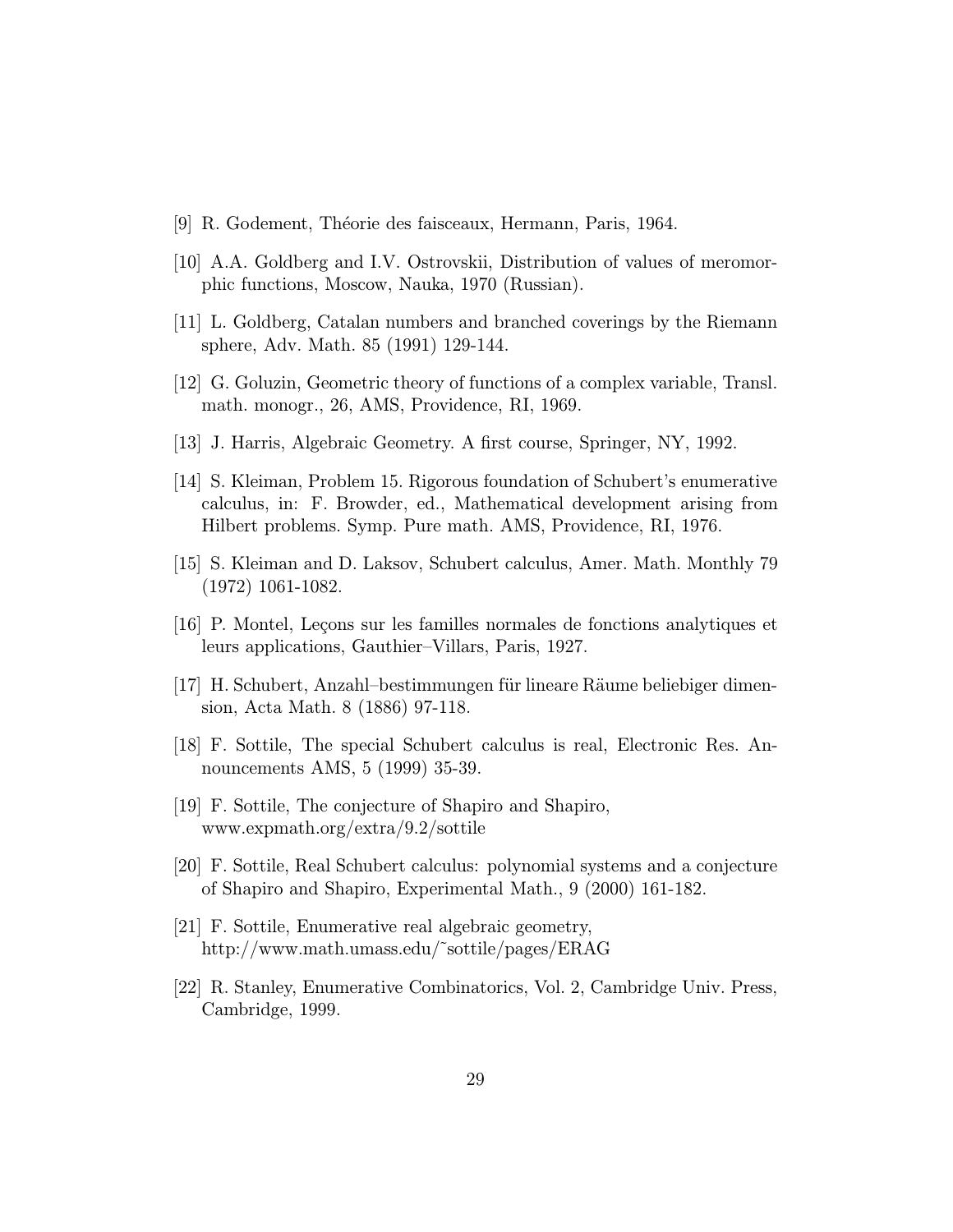- [9] R. Godement, Théorie des faisceaux, Hermann, Paris, 1964.
- [10] A.A. Goldberg and I.V. Ostrovskii, Distribution of values of meromorphic functions, Moscow, Nauka, 1970 (Russian).
- [11] L. Goldberg, Catalan numbers and branched coverings by the Riemann sphere, Adv. Math. 85 (1991) 129-144.
- [12] G. Goluzin, Geometric theory of functions of a complex variable, Transl. math. monogr., 26, AMS, Providence, RI, 1969.
- [13] J. Harris, Algebraic Geometry. A first course, Springer, NY, 1992.
- [14] S. Kleiman, Problem 15. Rigorous foundation of Schubert's enumerative calculus, in: F. Browder, ed., Mathematical development arising from Hilbert problems. Symp. Pure math. AMS, Providence, RI, 1976.
- [15] S. Kleiman and D. Laksov, Schubert calculus, Amer. Math. Monthly 79 (1972) 1061-1082.
- [16] P. Montel, Leçons sur les familles normales de fonctions analytiques et leurs applications, Gauthier–Villars, Paris, 1927.
- [17] H. Schubert, Anzahl–bestimmungen für lineare Räume beliebiger dimension, Acta Math. 8 (1886) 97-118.
- [18] F. Sottile, The special Schubert calculus is real, Electronic Res. Announcements AMS, 5 (1999) 35-39.
- [19] F. Sottile, The conjecture of Shapiro and Shapiro, www.expmath.org/extra/9.2/sottile
- [20] F. Sottile, Real Schubert calculus: polynomial systems and a conjecture of Shapiro and Shapiro, Experimental Math., 9 (2000) 161-182.
- [21] F. Sottile, Enumerative real algebraic geometry, http://www.math.umass.edu/˜sottile/pages/ERAG
- [22] R. Stanley, Enumerative Combinatorics, Vol. 2, Cambridge Univ. Press, Cambridge, 1999.